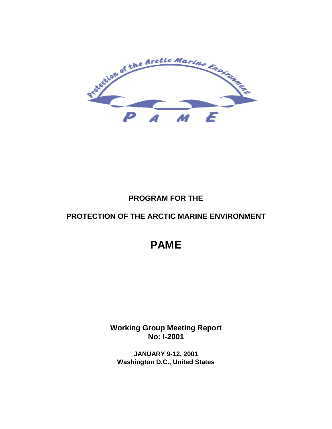

# **PROGRAM FOR THE**

# **PROTECTION OF THE ARCTIC MARINE ENVIRONMENT**

# **PAME**

**Working Group Meeting Report No: I-2001**

**JANUARY 9-12, 2001 Washington D.C., United States**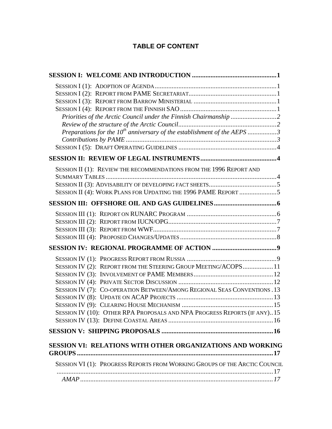# **TABLE OF CONTENT**

| Preparations for the $10^{th}$ anniversary of the establishment of the AEPS 3                                                                                                                                          |
|------------------------------------------------------------------------------------------------------------------------------------------------------------------------------------------------------------------------|
|                                                                                                                                                                                                                        |
|                                                                                                                                                                                                                        |
| SESSION II (1): REVIEW THE RECOMMENDATIONS FROM THE 1996 REPORT AND<br>SESSION II (4): WORK PLANS FOR UPDATING THE 1996 PAME REPORT 5                                                                                  |
|                                                                                                                                                                                                                        |
|                                                                                                                                                                                                                        |
|                                                                                                                                                                                                                        |
| SESSION IV (2): REPORT FROM THE STEERING GROUP MEETING/ACOPS11<br>SESSION IV (7): CO-OPERATION BETWEEN/AMONG REGIONAL SEAS CONVENTIONS. 13<br>SESSION IV (10): OTHER RPA PROPOSALS AND NPA PROGRESS REPORTS (IF ANY)15 |
|                                                                                                                                                                                                                        |
| SESSION VI: RELATIONS WITH OTHER ORGANIZATIONS AND WORKING<br>SESSION VI (1): PROGRESS REPORTS FROM WORKING GROUPS OF THE ARCTIC COUNCIL                                                                               |
|                                                                                                                                                                                                                        |
|                                                                                                                                                                                                                        |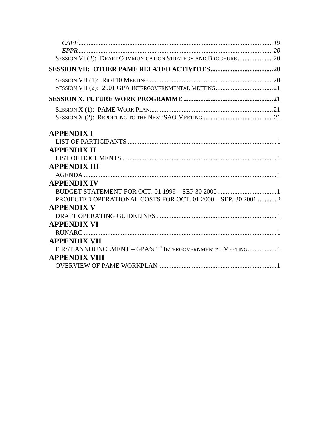| SESSION VI (2): DRAFT COMMUNICATION STRATEGY AND BROCHURE20    |  |
|----------------------------------------------------------------|--|
|                                                                |  |
|                                                                |  |
|                                                                |  |
|                                                                |  |
|                                                                |  |
|                                                                |  |
| <b>APPENDIX I</b>                                              |  |
|                                                                |  |
| <b>APPENDIX II</b>                                             |  |
|                                                                |  |
| <b>APPENDIX III</b>                                            |  |
|                                                                |  |
| <b>APPENDIX IV</b>                                             |  |
|                                                                |  |
| PROJECTED OPERATIONAL COSTS FOR OCT. 01 2000 - SEP. 30 2001  2 |  |
| <b>APPENDIX V</b>                                              |  |
|                                                                |  |
| <b>APPENDIX VI</b>                                             |  |
|                                                                |  |
| <b>APPENDIX VII</b>                                            |  |
| FIRST ANNOUNCEMENT - GPA'S 1ST INTERGOVERNMENTAL MEETING 1     |  |
| <b>APPENDIX VIII</b>                                           |  |
|                                                                |  |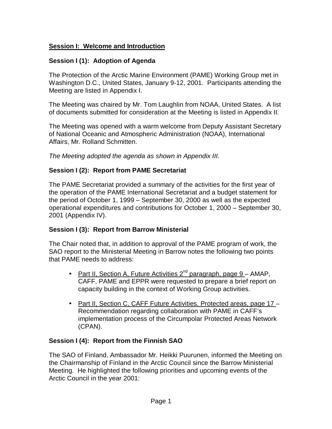### **Session I: Welcome and Introduction**

### **Session I (1): Adoption of Agenda**

The Protection of the Arctic Marine Environment (PAME) Working Group met in Washington D.C., United States, January 9-12, 2001. Participants attending the Meeting are listed in Appendix I.

The Meeting was chaired by Mr. Tom Laughlin from NOAA, United States. A list of documents submitted for consideration at the Meeting is listed in Appendix II.

The Meeting was opened with a warm welcome from Deputy Assistant Secretary of National Oceanic and Atmospheric Administration (NOAA), International Affairs, Mr. Rolland Schmitten.

The Meeting adopted the agenda as shown in Appendix III.

### **Session I (2): Report from PAME Secretariat**

The PAME Secretariat provided a summary of the activities for the first year of the operation of the PAME International Secretariat and a budget statement for the period of October 1, 1999 – September 30, 2000 as well as the expected operational expenditures and contributions for October 1, 2000 – September 30, 2001 (Appendix IV).

# **Session I (3): Report from Barrow Ministerial**

The Chair noted that, in addition to approval of the PAME program of work, the SAO report to the Ministerial Meeting in Barrow notes the following two points that PAME needs to address:

- Part II, Section A, Future Activities 2<sup>nd</sup> paragraph, page 9 AMAP, CAFF, PAME and EPPR were requested to prepare a brief report on capacity building in the context of Working Group activities.
- Part II, Section C, CAFF Future Activities, Protected areas, page 17 -Recommendation regarding collaboration with PAME in CAFF's implementation process of the Circumpolar Protected Areas Network (CPAN).

### **Session I (4): Report from the Finnish SAO**

The SAO of Finland, Ambassador Mr. Heikki Puurunen, informed the Meeting on the Chairmanship of Finland in the Arctic Council since the Barrow Ministerial Meeting. He highlighted the following priorities and upcoming events of the Arctic Council in the year 2001: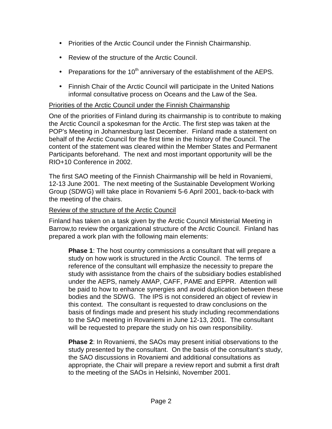- Priorities of the Arctic Council under the Finnish Chairmanship.
- Review of the structure of the Arctic Council.
- Preparations for the 10<sup>th</sup> anniversary of the establishment of the AEPS.
- Finnish Chair of the Arctic Council will participate in the United Nations informal consultative process on Oceans and the Law of the Sea.

### Priorities of the Arctic Council under the Finnish Chairmanship

One of the priorities of Finland during its chairmanship is to contribute to making the Arctic Council a spokesman for the Arctic. The first step was taken at the POP's Meeting in Johannesburg last December. Finland made a statement on behalf of the Arctic Council for the first time in the history of the Council. The content of the statement was cleared within the Member States and Permanent Participants beforehand. The next and most important opportunity will be the RIO+10 Conference in 2002.

The first SAO meeting of the Finnish Chairmanship will be held in Rovaniemi, 12-13 June 2001. The next meeting of the Sustainable Development Working Group (SDWG) will take place in Rovaniemi 5-6 April 2001, back-to-back with the meeting of the chairs.

### Review of the structure of the Arctic Council

Finland has taken on a task given by the Arctic Council Ministerial Meeting in Barrow,to review the organizational structure of the Arctic Council. Finland has prepared a work plan with the following main elements:

**Phase 1**: The host country commissions a consultant that will prepare a study on how work is structured in the Arctic Council. The terms of reference of the consultant will emphasize the necessity to prepare the study with assistance from the chairs of the subsidiary bodies established under the AEPS, namely AMAP, CAFF, PAME and EPPR. Attention will be paid to how to enhance synergies and avoid duplication between these bodies and the SDWG. The IPS is not considered an object of review in this context. The consultant is requested to draw conclusions on the basis of findings made and present his study including recommendations to the SAO meeting in Rovaniemi in June 12-13, 2001. The consultant will be requested to prepare the study on his own responsibility.

**Phase 2**: In Rovaniemi, the SAOs may present initial observations to the study presented by the consultant. On the basis of the consultant's study, the SAO discussions in Rovaniemi and additional consultations as appropriate, the Chair will prepare a review report and submit a first draft to the meeting of the SAOs in Helsinki, November 2001.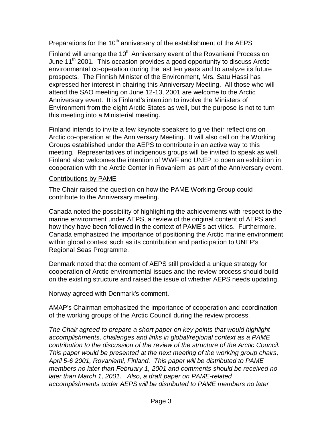### Preparations for the 10<sup>th</sup> anniversary of the establishment of the AEPS

Finland will arrange the 10<sup>th</sup> Anniversary event of the Rovaniemi Process on June 11<sup>th</sup> 2001. This occasion provides a good opportunity to discuss Arctic environmental co-operation during the last ten years and to analyze its future prospects. The Finnish Minister of the Environment, Mrs. Satu Hassi has expressed her interest in chairing this Anniversary Meeting. All those who will attend the SAO meeting on June 12-13, 2001 are welcome to the Arctic Anniversary event. It is Finland's intention to involve the Ministers of Environment from the eight Arctic States as well, but the purpose is not to turn this meeting into a Ministerial meeting.

Finland intends to invite a few keynote speakers to give their reflections on Arctic co-operation at the Anniversary Meeting. It will also call on the Working Groups established under the AEPS to contribute in an active way to this meeting. Representatives of indigenous groups will be invited to speak as well. Finland also welcomes the intention of WWF and UNEP to open an exhibition in cooperation with the Arctic Center in Rovaniemi as part of the Anniversary event.

#### Contributions by PAME

The Chair raised the question on how the PAME Working Group could contribute to the Anniversary meeting.

Canada noted the possibility of highlighting the achievements with respect to the marine environment under AEPS, a review of the original content of AEPS and how they have been followed in the context of PAME's activities. Furthermore, Canada emphasized the importance of positioning the Arctic marine environment within global context such as its contribution and participation to UNEP's Regional Seas Programme.

Denmark noted that the content of AEPS still provided a unique strategy for cooperation of Arctic environmental issues and the review process should build on the existing structure and raised the issue of whether AEPS needs updating.

Norway agreed with Denmark's comment.

AMAP's Chairman emphasized the importance of cooperation and coordination of the working groups of the Arctic Council during the review process.

The Chair agreed to prepare a short paper on key points that would highlight accomplishments, challenges and links in global/regional context as a PAME contribution to the discussion of the review of the structure of the Arctic Council. This paper would be presented at the next meeting of the working group chairs, April 5-6 2001, Rovaniemi, Finland. This paper will be distributed to PAME members no later than February 1, 2001 and comments should be received no later than March 1, 2001. Also, a draft paper on PAME-related accomplishments under AEPS will be distributed to PAME members no later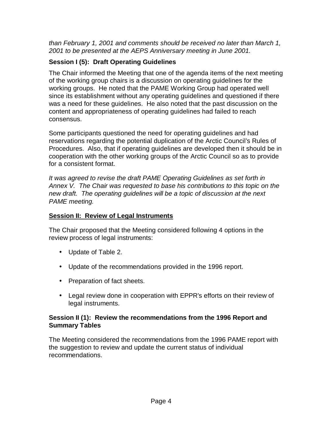than February 1, 2001 and comments should be received no later than March 1, 2001 to be presented at the AEPS Anniversary meeting in June 2001.

# **Session I (5): Draft Operating Guidelines**

The Chair informed the Meeting that one of the agenda items of the next meeting of the working group chairs is a discussion on operating guidelines for the working groups. He noted that the PAME Working Group had operated well since its establishment without any operating guidelines and questioned if there was a need for these guidelines. He also noted that the past discussion on the content and appropriateness of operating guidelines had failed to reach consensus.

Some participants questioned the need for operating guidelines and had reservations regarding the potential duplication of the Arctic Council's Rules of Procedures. Also, that if operating guidelines are developed then it should be in cooperation with the other working groups of the Arctic Council so as to provide for a consistent format.

It was agreed to revise the draft PAME Operating Guidelines as set forth in Annex V. The Chair was requested to base his contributions to this topic on the new draft. The operating guidelines will be a topic of discussion at the next PAME meeting.

### **Session II: Review of Legal Instruments**

The Chair proposed that the Meeting considered following 4 options in the review process of legal instruments:

- Update of Table 2.
- Update of the recommendations provided in the 1996 report.
- Preparation of fact sheets.
- Legal review done in cooperation with EPPR's efforts on their review of legal instruments.

### **Session II (1): Review the recommendations from the 1996 Report and Summary Tables**

The Meeting considered the recommendations from the 1996 PAME report with the suggestion to review and update the current status of individual recommendations.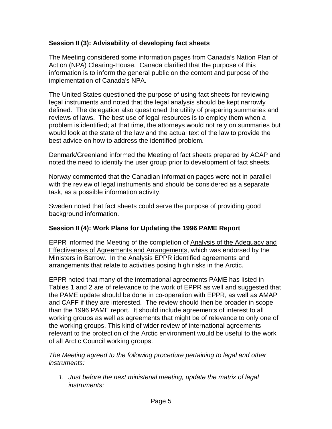### **Session II (3): Advisability of developing fact sheets**

The Meeting considered some information pages from Canada's Nation Plan of Action (NPA) Clearing-House. Canada clarified that the purpose of this information is to inform the general public on the content and purpose of the implementation of Canada's NPA.

The United States questioned the purpose of using fact sheets for reviewing legal instruments and noted that the legal analysis should be kept narrowly defined. The delegation also questioned the utility of preparing summaries and reviews of laws. The best use of legal resources is to employ them when a problem is identified; at that time, the attorneys would not rely on summaries but would look at the state of the law and the actual text of the law to provide the best advice on how to address the identified problem.

Denmark/Greenland informed the Meeting of fact sheets prepared by ACAP and noted the need to identify the user group prior to development of fact sheets.

Norway commented that the Canadian information pages were not in parallel with the review of legal instruments and should be considered as a separate task, as a possible information activity.

Sweden noted that fact sheets could serve the purpose of providing good background information.

### **Session II (4): Work Plans for Updating the 1996 PAME Report**

EPPR informed the Meeting of the completion of Analysis of the Adequacy and Effectiveness of Agreements and Arrangements, which was endorsed by the Ministers in Barrow. In the Analysis EPPR identified agreements and arrangements that relate to activities posing high risks in the Arctic.

EPPR noted that many of the international agreements PAME has listed in Tables 1 and 2 are of relevance to the work of EPPR as well and suggested that the PAME update should be done in co-operation with EPPR, as well as AMAP and CAFF if they are interested. The review should then be broader in scope than the 1996 PAME report. It should include agreements of interest to all working groups as well as agreements that might be of relevance to only one of the working groups. This kind of wider review of international agreements relevant to the protection of the Arctic environment would be useful to the work of all Arctic Council working groups.

The Meeting agreed to the following procedure pertaining to legal and other instruments:

1. Just before the next ministerial meeting, update the matrix of legal instruments;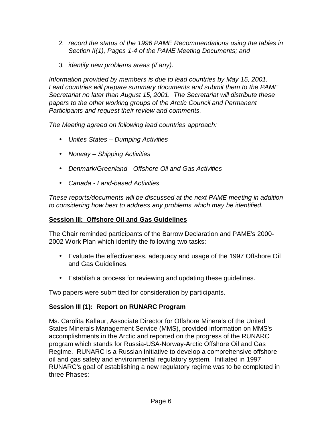- 2. record the status of the 1996 PAME Recommendations using the tables in Section II(1), Pages 1-4 of the PAME Meeting Documents; and
- 3. identify new problems areas (if any).

Information provided by members is due to lead countries by May 15, 2001. Lead countries will prepare summary documents and submit them to the PAME Secretariat no later than August 15, 2001. The Secretariat will distribute these papers to the other working groups of the Arctic Council and Permanent Participants and request their review and comments.

The Meeting agreed on following lead countries approach:

- Unites States Dumping Activities
- Norway Shipping Activities
- Denmark/Greenland Offshore Oil and Gas Activities
- Canada Land-based Activities

These reports/documents will be discussed at the next PAME meeting in addition to considering how best to address any problems which may be identified.

### **Session III: Offshore Oil and Gas Guidelines**

The Chair reminded participants of the Barrow Declaration and PAME's 2000- 2002 Work Plan which identify the following two tasks:

- Evaluate the effectiveness, adequacy and usage of the 1997 Offshore Oil and Gas Guidelines.
- Establish a process for reviewing and updating these guidelines.

Two papers were submitted for consideration by participants.

### **Session III (1): Report on RUNARC Program**

Ms. Carolita Kallaur, Associate Director for Offshore Minerals of the United States Minerals Management Service (MMS), provided information on MMS's accomplishments in the Arctic and reported on the progress of the RUNARC program which stands for Russia-USA-Norway-Arctic Offshore Oil and Gas Regime. RUNARC is a Russian initiative to develop a comprehensive offshore oil and gas safety and environmental regulatory system. Initiated in 1997 RUNARC's goal of establishing a new regulatory regime was to be completed in three Phases: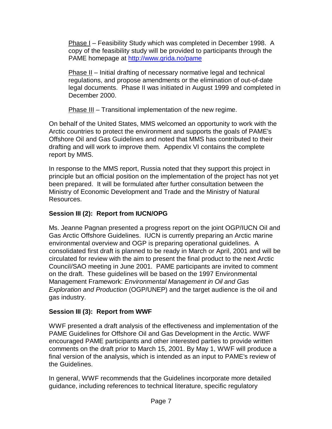Phase I – Feasibility Study which was completed in December 1998. A copy of the feasibility study will be provided to participants through the PAME homepage at http://www.grida.no/pame

Phase II – Initial drafting of necessary normative legal and technical regulations, and propose amendments or the elimination of out-of-date legal documents. Phase II was initiated in August 1999 and completed in December 2000.

Phase III – Transitional implementation of the new regime.

On behalf of the United States, MMS welcomed an opportunity to work with the Arctic countries to protect the environment and supports the goals of PAME's Offshore Oil and Gas Guidelines and noted that MMS has contributed to their drafting and will work to improve them. Appendix VI contains the complete report by MMS.

In response to the MMS report, Russia noted that they support this project in principle but an official position on the implementation of the project has not yet been prepared. It will be formulated after further consultation between the Ministry of Economic Development and Trade and the Ministry of Natural Resources.

# **Session III (2): Report from IUCN/OPG**

Ms. Jeanne Pagnan presented a progress report on the joint OGP/IUCN Oil and Gas Arctic Offshore Guidelines. IUCN is currently preparing an Arctic marine environmental overview and OGP is preparing operational guidelines. A consolidated first draft is planned to be ready in March or April, 2001 and will be circulated for review with the aim to present the final product to the next Arctic Council/SAO meeting in June 2001. PAME participants are invited to comment on the draft. These guidelines will be based on the 1997 Environmental Management Framework: Environmental Management in Oil and Gas Exploration and Production (OGP/UNEP) and the target audience is the oil and gas industry.

# **Session III (3): Report from WWF**

WWF presented a draft analysis of the effectiveness and implementation of the PAME Guidelines for Offshore Oil and Gas Development in the Arctic. WWF encouraged PAME participants and other interested parties to provide written comments on the draft prior to March 15, 2001. By May 1, WWF will produce a final version of the analysis, which is intended as an input to PAME's review of the Guidelines.

In general, WWF recommends that the Guidelines incorporate more detailed guidance, including references to technical literature, specific regulatory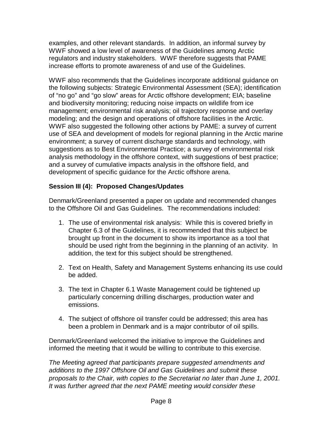examples, and other relevant standards. In addition, an informal survey by WWF showed a low level of awareness of the Guidelines among Arctic regulators and industry stakeholders. WWF therefore suggests that PAME increase efforts to promote awareness of and use of the Guidelines.

WWF also recommends that the Guidelines incorporate additional guidance on the following subjects: Strategic Environmental Assessment (SEA); identification of "no go" and "go slow" areas for Arctic offshore development; EIA; baseline and biodiversity monitoring; reducing noise impacts on wildlife from ice management; environmental risk analysis; oil trajectory response and overlay modeling; and the design and operations of offshore facilities in the Arctic. WWF also suggested the following other actions by PAME: a survey of current use of SEA and development of models for regional planning in the Arctic marine environment; a survey of current discharge standards and technology, with suggestions as to Best Environmental Practice; a survey of environmental risk analysis methodology in the offshore context, with suggestions of best practice; and a survey of cumulative impacts analysis in the offshore field, and development of specific guidance for the Arctic offshore arena.

### **Session III (4): Proposed Changes/Updates**

Denmark/Greenland presented a paper on update and recommended changes to the Offshore Oil and Gas Guidelines. The recommendations included:

- 1. The use of environmental risk analysis: While this is covered briefly in Chapter 6.3 of the Guidelines, it is recommended that this subject be brought up front in the document to show its importance as a tool that should be used right from the beginning in the planning of an activity. In addition, the text for this subject should be strengthened.
- 2. Text on Health, Safety and Management Systems enhancing its use could be added.
- 3. The text in Chapter 6.1 Waste Management could be tightened up particularly concerning drilling discharges, production water and emissions.
- 4. The subject of offshore oil transfer could be addressed; this area has been a problem in Denmark and is a major contributor of oil spills.

Denmark/Greenland welcomed the initiative to improve the Guidelines and informed the meeting that it would be willing to contribute to this exercise.

The Meeting agreed that participants prepare suggested amendments and additions to the 1997 Offshore Oil and Gas Guidelines and submit these proposals to the Chair, with copies to the Secretariat no later than June 1, 2001. It was further agreed that the next PAME meeting would consider these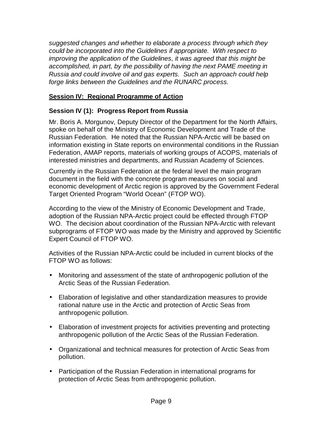suggested changes and whether to elaborate a process through which they could be incorporated into the Guidelines if appropriate. With respect to improving the application of the Guidelines, it was agreed that this might be accomplished, in part, by the possibility of having the next PAME meeting in Russia and could involve oil and gas experts. Such an approach could help forge links between the Guidelines and the RUNARC process.

### **Session IV: Regional Programme of Action**

### **Session IV (1): Progress Report from Russia**

Mr. Boris A. Morgunov, Deputy Director of the Department for the North Affairs, spoke on behalf of the Ministry of Economic Development and Trade of the Russian Federation. He noted that the Russian NPA-Arctic will be based on information existing in State reports on environmental conditions in the Russian Federation, AMAP reports, materials of working groups of ACOPS, materials of interested ministries and departments, and Russian Academy of Sciences.

Currently in the Russian Federation at the federal level the main program document in the field with the concrete program measures on social and economic development of Arctic region is approved by the Government Federal Target Oriented Program "World Ocean" (FTOP WO).

According to the view of the Ministry of Economic Development and Trade, adoption of the Russian NPA-Arctic project could be effected through FTOP WO. The decision about coordination of the Russian NPA-Arctic with relevant subprograms of FTOP WO was made by the Ministry and approved by Scientific Expert Council of FTOP WO.

Activities of the Russian NPA-Arctic could be included in current blocks of the FTOP WO as follows:

- Monitoring and assessment of the state of anthropogenic pollution of the Arctic Seas of the Russian Federation.
- Elaboration of legislative and other standardization measures to provide rational nature use in the Arctic and protection of Arctic Seas from anthropogenic pollution.
- Elaboration of investment projects for activities preventing and protecting anthropogenic pollution of the Arctic Seas of the Russian Federation.
- Organizational and technical measures for protection of Arctic Seas from pollution.
- Participation of the Russian Federation in international programs for protection of Arctic Seas from anthropogenic pollution.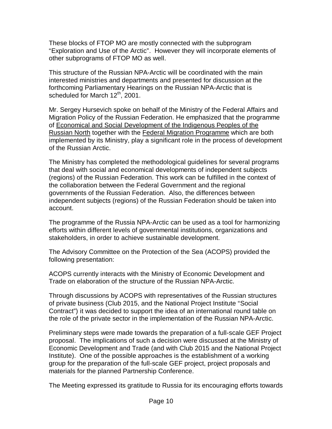These blocks of FTOP MO are mostly connected with the subprogram "Exploration and Use of the Arctic". However they will incorporate elements of other subprograms of FTOP MO as well.

This structure of the Russian NPA-Arctic will be coordinated with the main interested ministries and departments and presented for discussion at the forthcoming Parliamentary Hearings on the Russian NPA-Arctic that is scheduled for March 12<sup>th</sup>, 2001.

Mr. Sergey Hursevich spoke on behalf of the Ministry of the Federal Affairs and Migration Policy of the Russian Federation. He emphasized that the programme of Economical and Social Development of the Indigenous Peoples of the Russian North together with the Federal Migration Programme which are both implemented by its Ministry, play a significant role in the process of development of the Russian Arctic.

The Ministry has completed the methodological guidelines for several programs that deal with social and economical developments of independent subjects (regions) of the Russian Federation. This work can be fulfilled in the context of the collaboration between the Federal Government and the regional governments of the Russian Federation. Also, the differences between independent subjects (regions) of the Russian Federation should be taken into account.

The programme of the Russia NPA-Arctic can be used as a tool for harmonizing efforts within different levels of governmental institutions, organizations and stakeholders, in order to achieve sustainable development.

The Advisory Committee on the Protection of the Sea (ACOPS) provided the following presentation:

ACOPS currently interacts with the Ministry of Economic Development and Trade on elaboration of the structure of the Russian NPA-Arctic.

Through discussions by ACOPS with representatives of the Russian structures of private business (Club 2015, and the National Project Institute "Social Contract") it was decided to support the idea of an international round table on the role of the private sector in the implementation of the Russian NPA-Arctic.

Preliminary steps were made towards the preparation of a full-scale GEF Project proposal. The implications of such a decision were discussed at the Ministry of Economic Development and Trade (and with Club 2015 and the National Project Institute). One of the possible approaches is the establishment of a working group for the preparation of the full-scale GEF project, project proposals and materials for the planned Partnership Conference.

The Meeting expressed its gratitude to Russia for its encouraging efforts towards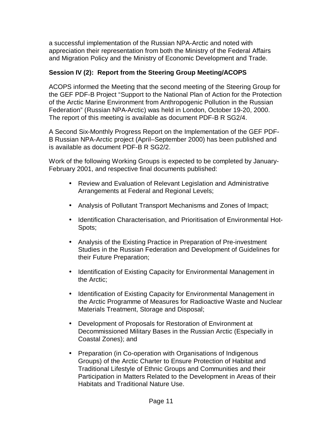a successful implementation of the Russian NPA-Arctic and noted with appreciation their representation from both the Ministry of the Federal Affairs and Migration Policy and the Ministry of Economic Development and Trade.

### **Session IV (2): Report from the Steering Group Meeting/ACOPS**

ACOPS informed the Meeting that the second meeting of the Steering Group for the GEF PDF-B Project "Support to the National Plan of Action for the Protection of the Arctic Marine Environment from Anthropogenic Pollution in the Russian Federation" (Russian NPA-Arctic) was held in London, October 19-20, 2000. The report of this meeting is available as document PDF-B R SG2/4.

A Second Six-Monthly Progress Report on the Implementation of the GEF PDF-B Russian NPA-Arctic project (April–September 2000) has been published and is available as document PDF-B R SG2/2.

Work of the following Working Groups is expected to be completed by January-February 2001, and respective final documents published:

- Review and Evaluation of Relevant Legislation and Administrative Arrangements at Federal and Regional Levels;
- Analysis of Pollutant Transport Mechanisms and Zones of Impact;
- Identification Characterisation, and Prioritisation of Environmental Hot-Spots;
- Analysis of the Existing Practice in Preparation of Pre-investment Studies in the Russian Federation and Development of Guidelines for their Future Preparation;
- Identification of Existing Capacity for Environmental Management in the Arctic;
- Identification of Existing Capacity for Environmental Management in the Arctic Programme of Measures for Radioactive Waste and Nuclear Materials Treatment, Storage and Disposal;
- Development of Proposals for Restoration of Environment at Decommissioned Military Bases in the Russian Arctic (Especially in Coastal Zones); and
- Preparation (in Co-operation with Organisations of Indigenous Groups) of the Arctic Charter to Ensure Protection of Habitat and Traditional Lifestyle of Ethnic Groups and Communities and their Participation in Matters Related to the Development in Areas of their Habitats and Traditional Nature Use.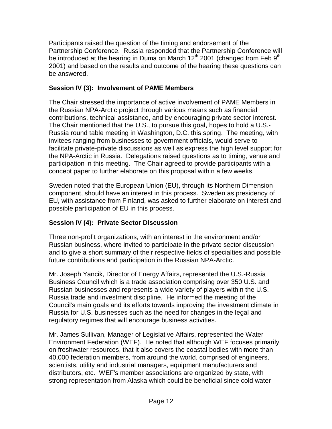Participants raised the question of the timing and endorsement of the Partnership Conference. Russia responded that the Partnership Conference will be introduced at the hearing in Duma on March 12<sup>th</sup> 2001 (changed from Feb 9<sup>th</sup> 2001) and based on the results and outcome of the hearing these questions can be answered.

### **Session IV (3): Involvement of PAME Members**

The Chair stressed the importance of active involvement of PAME Members in the Russian NPA-Arctic project through various means such as financial contributions, technical assistance, and by encouraging private sector interest. The Chair mentioned that the U.S., to pursue this goal, hopes to hold a U.S.- Russia round table meeting in Washington, D.C. this spring. The meeting, with invitees ranging from businesses to government officials, would serve to facilitate private-private discussions as well as express the high level support for the NPA-Arctic in Russia. Delegations raised questions as to timing, venue and participation in this meeting. The Chair agreed to provide participants with a concept paper to further elaborate on this proposal within a few weeks.

Sweden noted that the European Union (EU), through its Northern Dimension component, should have an interest in this process. Sweden as presidency of EU, with assistance from Finland, was asked to further elaborate on interest and possible participation of EU in this process.

# **Session IV (4): Private Sector Discussion**

Three non-profit organizations, with an interest in the environment and/or Russian business, where invited to participate in the private sector discussion and to give a short summary of their respective fields of specialties and possible future contributions and participation in the Russian NPA-Arctic.

Mr. Joseph Yancik, Director of Energy Affairs, represented the U.S.-Russia Business Council which is a trade association comprising over 350 U.S. and Russian businesses and represents a wide variety of players within the U.S.- Russia trade and investment discipline. He informed the meeting of the Council's main goals and its efforts towards improving the investment climate in Russia for U.S. businesses such as the need for changes in the legal and regulatory regimes that will encourage business activities.

Mr. James Sullivan, Manager of Legislative Affairs, represented the Water Environment Federation (WEF). He noted that although WEF focuses primarily on freshwater resources, that it also covers the coastal bodies with more than 40,000 federation members, from around the world, comprised of engineers, scientists, utility and industrial managers, equipment manufacturers and distributors, etc. WEF's member associations are organized by state, with strong representation from Alaska which could be beneficial since cold water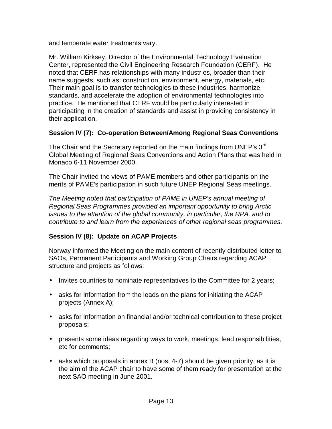and temperate water treatments vary.

Mr. William Kirksey, Director of the Environmental Technology Evaluation Center, represented the Civil Engineering Research Foundation (CERF). He noted that CERF has relationships with many industries, broader than their name suggests, such as: construction, environment, energy, materials, etc. Their main goal is to transfer technologies to these industries, harmonize standards, and accelerate the adoption of environmental technologies into practice. He mentioned that CERF would be particularly interested in participating in the creation of standards and assist in providing consistency in their application.

### **Session IV (7): Co-operation Between/Among Regional Seas Conventions**

The Chair and the Secretary reported on the main findings from UNEP's  $3^{rd}$ Global Meeting of Regional Seas Conventions and Action Plans that was held in Monaco 6-11 November 2000.

The Chair invited the views of PAME members and other participants on the merits of PAME's participation in such future UNEP Regional Seas meetings.

The Meeting noted that participation of PAME in UNEP's annual meeting of Regional Seas Programmes provided an important opportunity to bring Arctic issues to the attention of the global community, in particular, the RPA, and to contribute to and learn from the experiences of other regional seas programmes.

### **Session IV (8): Update on ACAP Projects**

Norway informed the Meeting on the main content of recently distributed letter to SAOs, Permanent Participants and Working Group Chairs regarding ACAP structure and projects as follows:

- Invites countries to nominate representatives to the Committee for 2 years;
- asks for information from the leads on the plans for initiating the ACAP projects (Annex A);
- asks for information on financial and/or technical contribution to these project proposals;
- presents some ideas regarding ways to work, meetings, lead responsibilities, etc for comments;
- asks which proposals in annex B (nos. 4-7) should be given priority, as it is the aim of the ACAP chair to have some of them ready for presentation at the next SAO meeting in June 2001.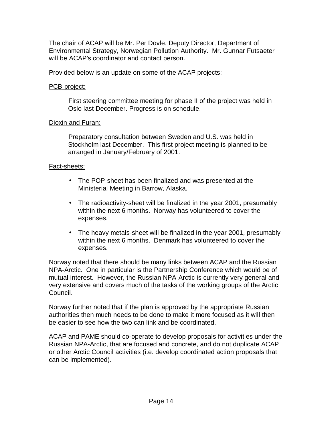The chair of ACAP will be Mr. Per Dovle, Deputy Director, Department of Environmental Strategy, Norwegian Pollution Authority. Mr. Gunnar Futsaeter will be ACAP's coordinator and contact person.

Provided below is an update on some of the ACAP projects:

### PCB-project:

First steering committee meeting for phase II of the project was held in Oslo last December. Progress is on schedule.

### Dioxin and Furan:

Preparatory consultation between Sweden and U.S. was held in Stockholm last December. This first project meeting is planned to be arranged in January/February of 2001.

### Fact-sheets:

- The POP-sheet has been finalized and was presented at the Ministerial Meeting in Barrow, Alaska.
- The radioactivity-sheet will be finalized in the year 2001, presumably within the next 6 months. Norway has volunteered to cover the expenses.
- The heavy metals-sheet will be finalized in the year 2001, presumably within the next 6 months. Denmark has volunteered to cover the expenses.

Norway noted that there should be many links between ACAP and the Russian NPA-Arctic. One in particular is the Partnership Conference which would be of mutual interest. However, the Russian NPA-Arctic is currently very general and very extensive and covers much of the tasks of the working groups of the Arctic Council.

Norway further noted that if the plan is approved by the appropriate Russian authorities then much needs to be done to make it more focused as it will then be easier to see how the two can link and be coordinated.

ACAP and PAME should co-operate to develop proposals for activities under the Russian NPA-Arctic, that are focused and concrete, and do not duplicate ACAP or other Arctic Council activities (i.e. develop coordinated action proposals that can be implemented).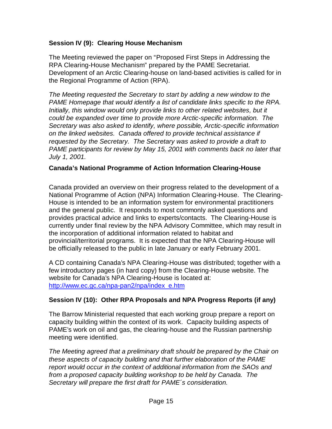### **Session IV (9): Clearing House Mechanism**

The Meeting reviewed the paper on "Proposed First Steps in Addressing the RPA Clearing-House Mechanism" prepared by the PAME Secretariat. Development of an Arctic Clearing-house on land-based activities is called for in the Regional Programme of Action (RPA).

The Meeting requested the Secretary to start by adding a new window to the PAME Homepage that would identify a list of candidate links specific to the RPA. Initially, this window would only provide links to other related websites, but it could be expanded over time to provide more Arctic-specific information. The Secretary was also asked to identify, where possible, Arctic-specific information on the linked websites. Canada offered to provide technical assistance if requested by the Secretary. The Secretary was asked to provide a draft to PAME participants for review by May 15, 2001 with comments back no later that July 1, 2001.

### **Canada's National Programme of Action Information Clearing-House**

Canada provided an overview on their progress related to the development of a National Programme of Action (NPA) Information Clearing-House. The Clearing-House is intended to be an information system for environmental practitioners and the general public. It responds to most commonly asked questions and provides practical advice and links to experts/contacts. The Clearing-House is currently under final review by the NPA Advisory Committee, which may result in the incorporation of additional information related to habitat and provincial/territorial programs. It is expected that the NPA Clearing-House will be officially released to the public in late January or early February 2001.

A CD containing Canada's NPA Clearing-House was distributed; together with a few introductory pages (in hard copy) from the Clearing-House website. The website for Canada's NPA Clearing-House is located at: http://www.ec.gc.ca/npa-pan2/npa/index\_e.htm

#### **Session IV (10): Other RPA Proposals and NPA Progress Reports (if any)**

The Barrow Ministerial requested that each working group prepare a report on capacity building within the context of its work. Capacity building aspects of PAME's work on oil and gas, the clearing-house and the Russian partnership meeting were identified.

The Meeting agreed that a preliminary draft should be prepared by the Chair on these aspects of capacity building and that further elaboration of the PAME report would occur in the context of additional information from the SAOs and from a proposed capacity building workshop to be held by Canada. The Secretary will prepare the first draft for PAME's consideration.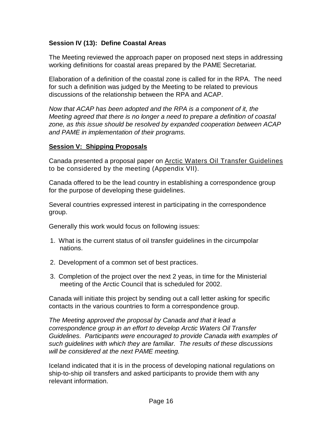### **Session IV (13): Define Coastal Areas**

The Meeting reviewed the approach paper on proposed next steps in addressing working definitions for coastal areas prepared by the PAME Secretariat.

Elaboration of a definition of the coastal zone is called for in the RPA. The need for such a definition was judged by the Meeting to be related to previous discussions of the relationship between the RPA and ACAP.

Now that ACAP has been adopted and the RPA is a component of it, the Meeting agreed that there is no longer a need to prepare a definition of coastal zone, as this issue should be resolved by expanded cooperation between ACAP and PAME in implementation of their programs.

#### **Session V: Shipping Proposals**

Canada presented a proposal paper on Arctic Waters Oil Transfer Guidelines to be considered by the meeting (Appendix VII).

Canada offered to be the lead country in establishing a correspondence group for the purpose of developing these guidelines.

Several countries expressed interest in participating in the correspondence group.

Generally this work would focus on following issues:

- 1. What is the current status of oil transfer guidelines in the circumpolar nations.
- 2. Development of a common set of best practices.
- 3. Completion of the project over the next 2 yeas, in time for the Ministerial meeting of the Arctic Council that is scheduled for 2002.

Canada will initiate this project by sending out a call letter asking for specific contacts in the various countries to form a correspondence group.

The Meeting approved the proposal by Canada and that it lead a correspondence group in an effort to develop Arctic Waters Oil Transfer Guidelines. Participants were encouraged to provide Canada with examples of such guidelines with which they are familiar. The results of these discussions will be considered at the next PAME meeting.

Iceland indicated that it is in the process of developing national regulations on ship-to-ship oil transfers and asked participants to provide them with any relevant information.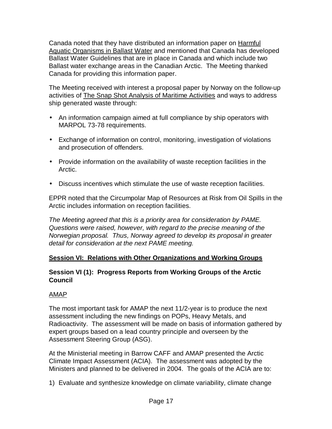Canada noted that they have distributed an information paper on Harmful Aquatic Organisms in Ballast Water and mentioned that Canada has developed Ballast Water Guidelines that are in place in Canada and which include two Ballast water exchange areas in the Canadian Arctic. The Meeting thanked Canada for providing this information paper.

The Meeting received with interest a proposal paper by Norway on the follow-up activities of The Snap Shot Analysis of Maritime Activities and ways to address ship generated waste through:

- An information campaign aimed at full compliance by ship operators with MARPOL 73-78 requirements.
- Exchange of information on control, monitoring, investigation of violations and prosecution of offenders.
- Provide information on the availability of waste reception facilities in the Arctic.
- Discuss incentives which stimulate the use of waste reception facilities.

EPPR noted that the Circumpolar Map of Resources at Risk from Oil Spills in the Arctic includes information on reception facilities.

The Meeting agreed that this is a priority area for consideration by PAME. Questions were raised, however, with regard to the precise meaning of the Norwegian proposal. Thus, Norway agreed to develop its proposal in greater detail for consideration at the next PAME meeting.

### **Session VI: Relations with Other Organizations and Working Groups**

### **Session VI (1): Progress Reports from Working Groups of the Arctic Council**

### AMAP

The most important task for AMAP the next 11/2-year is to produce the next assessment including the new findings on POPs, Heavy Metals, and Radioactivity. The assessment will be made on basis of information gathered by expert groups based on a lead country principle and overseen by the Assessment Steering Group (ASG).

At the Ministerial meeting in Barrow CAFF and AMAP presented the Arctic Climate Impact Assessment (ACIA). The assessment was adopted by the Ministers and planned to be delivered in 2004. The goals of the ACIA are to:

1) Evaluate and synthesize knowledge on climate variability, climate change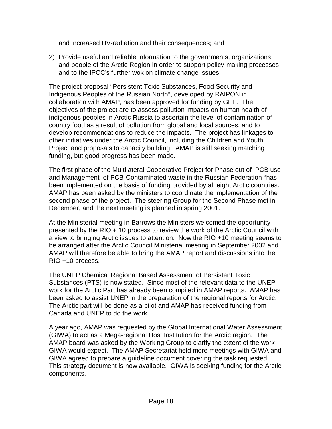and increased UV-radiation and their consequences; and

2) Provide useful and reliable information to the governments, organizations and people of the Arctic Region in order to support policy-making processes and to the IPCC's further wok on climate change issues.

The project proposal "Persistent Toxic Substances, Food Security and Indigenous Peoples of the Russian North", developed by RAIPON in collaboration with AMAP, has been approved for funding by GEF. The objectives of the project are to assess pollution impacts on human health of indigenous peoples in Arctic Russia to ascertain the level of contamination of country food as a result of pollution from global and local sources, and to develop recommendations to reduce the impacts. The project has linkages to other initiatives under the Arctic Council, including the Children and Youth Project and proposals to capacity building. AMAP is still seeking matching funding, but good progress has been made.

The first phase of the Multilateral Cooperative Project for Phase out of PCB use and Management of PCB-Contaminated waste in the Russian Federation "has been implemented on the basis of funding provided by all eight Arctic countries. AMAP has been asked by the ministers to coordinate the implementation of the second phase of the project. The steering Group for the Second Phase met in December, and the next meeting is planned in spring 2001.

At the Ministerial meeting in Barrows the Ministers welcomed the opportunity presented by the RIO + 10 process to review the work of the Arctic Council with a view to bringing Arctic issues to attention. Now the RIO +10 meeting seems to be arranged after the Arctic Council Ministerial meeting in September 2002 and AMAP will therefore be able to bring the AMAP report and discussions into the RIO +10 process.

The UNEP Chemical Regional Based Assessment of Persistent Toxic Substances (PTS) is now stated. Since most of the relevant data to the UNEP work for the Arctic Part has already been compiled in AMAP reports. AMAP has been asked to assist UNEP in the preparation of the regional reports for Arctic. The Arctic part will be done as a pilot and AMAP has received funding from Canada and UNEP to do the work.

A year ago, AMAP was requested by the Global International Water Assessment (GIWA) to act as a Mega-regional Host Institution for the Arctic region. The AMAP board was asked by the Working Group to clarify the extent of the work GIWA would expect. The AMAP Secretariat held more meetings with GIWA and GIWA agreed to prepare a guideline document covering the task requested. This strategy document is now available. GIWA is seeking funding for the Arctic components.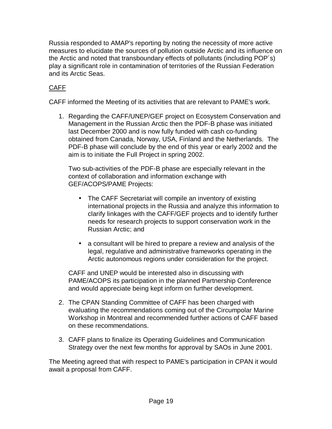Russia responded to AMAP's reporting by noting the necessity of more active measures to elucidate the sources of pollution outside Arctic and its influence on the Arctic and noted that transboundary effects of pollutants (including POP´s) play a significant role in contamination of territories of the Russian Federation and its Arctic Seas.

# CAFF

CAFF informed the Meeting of its activities that are relevant to PAME's work.

1. Regarding the CAFF/UNEP/GEF project on Ecosystem Conservation and Management in the Russian Arctic then the PDF-B phase was initiated last December 2000 and is now fully funded with cash co-funding obtained from Canada, Norway, USA, Finland and the Netherlands. The PDF-B phase will conclude by the end of this year or early 2002 and the aim is to initiate the Full Project in spring 2002.

Two sub-activities of the PDF-B phase are especially relevant in the context of collaboration and information exchange with GEF/ACOPS/PAME Projects:

- The CAFF Secretariat will compile an inventory of existing international projects in the Russia and analyze this information to clarify linkages with the CAFF/GEF projects and to identify further needs for research projects to support conservation work in the Russian Arctic; and
- a consultant will be hired to prepare a review and analysis of the legal, regulative and administrative frameworks operating in the Arctic autonomous regions under consideration for the project.

CAFF and UNEP would be interested also in discussing with PAME/ACOPS its participation in the planned Partnership Conference and would appreciate being kept inform on further development.

- 2. The CPAN Standing Committee of CAFF has been charged with evaluating the recommendations coming out of the Circumpolar Marine Workshop in Montreal and recommended further actions of CAFF based on these recommendations.
- 3. CAFF plans to finalize its Operating Guidelines and Communication Strategy over the next few months for approval by SAOs in June 2001.

The Meeting agreed that with respect to PAME's participation in CPAN it would await a proposal from CAFF.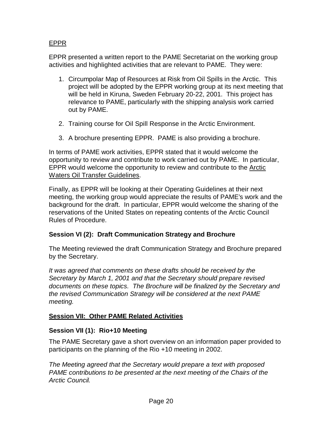### EPPR

EPPR presented a written report to the PAME Secretariat on the working group activities and highlighted activities that are relevant to PAME. They were:

- 1. Circumpolar Map of Resources at Risk from Oil Spills in the Arctic. This project will be adopted by the EPPR working group at its next meeting that will be held in Kiruna, Sweden February 20-22, 2001. This project has relevance to PAME, particularly with the shipping analysis work carried out by PAME.
- 2. Training course for Oil Spill Response in the Arctic Environment.
- 3. A brochure presenting EPPR. PAME is also providing a brochure.

In terms of PAME work activities, EPPR stated that it would welcome the opportunity to review and contribute to work carried out by PAME. In particular, EPPR would welcome the opportunity to review and contribute to the Arctic Waters Oil Transfer Guidelines.

Finally, as EPPR will be looking at their Operating Guidelines at their next meeting, the working group would appreciate the results of PAME's work and the background for the draft. In particular, EPPR would welcome the sharing of the reservations of the United States on repeating contents of the Arctic Council Rules of Procedure.

### **Session VI (2): Draft Communication Strategy and Brochure**

The Meeting reviewed the draft Communication Strategy and Brochure prepared by the Secretary.

It was agreed that comments on these drafts should be received by the Secretary by March 1, 2001 and that the Secretary should prepare revised documents on these topics. The Brochure will be finalized by the Secretary and the revised Communication Strategy will be considered at the next PAME meeting.

### **Session VII: Other PAME Related Activities**

#### **Session VII (1): Rio+10 Meeting**

The PAME Secretary gave a short overview on an information paper provided to participants on the planning of the Rio +10 meeting in 2002.

The Meeting agreed that the Secretary would prepare a text with proposed PAME contributions to be presented at the next meeting of the Chairs of the Arctic Council.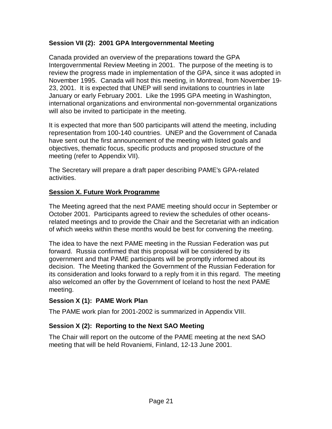### **Session VII (2): 2001 GPA Intergovernmental Meeting**

Canada provided an overview of the preparations toward the GPA Intergovernmental Review Meeting in 2001. The purpose of the meeting is to review the progress made in implementation of the GPA, since it was adopted in November 1995. Canada will host this meeting, in Montreal, from November 19- 23, 2001. It is expected that UNEP will send invitations to countries in late January or early February 2001. Like the 1995 GPA meeting in Washington, international organizations and environmental non-governmental organizations will also be invited to participate in the meeting.

It is expected that more than 500 participants will attend the meeting, including representation from 100-140 countries. UNEP and the Government of Canada have sent out the first announcement of the meeting with listed goals and objectives, thematic focus, specific products and proposed structure of the meeting (refer to Appendix VII).

The Secretary will prepare a draft paper describing PAME's GPA-related activities.

#### **Session X. Future Work Programme**

The Meeting agreed that the next PAME meeting should occur in September or October 2001. Participants agreed to review the schedules of other oceansrelated meetings and to provide the Chair and the Secretariat with an indication of which weeks within these months would be best for convening the meeting.

The idea to have the next PAME meeting in the Russian Federation was put forward. Russia confirmed that this proposal will be considered by its government and that PAME participants will be promptly informed about its decision. The Meeting thanked the Government of the Russian Federation for its consideration and looks forward to a reply from it in this regard. The meeting also welcomed an offer by the Government of Iceland to host the next PAME meeting.

#### **Session X (1): PAME Work Plan**

The PAME work plan for 2001-2002 is summarized in Appendix VIII.

### **Session X (2): Reporting to the Next SAO Meeting**

The Chair will report on the outcome of the PAME meeting at the next SAO meeting that will be held Rovaniemi, Finland, 12-13 June 2001.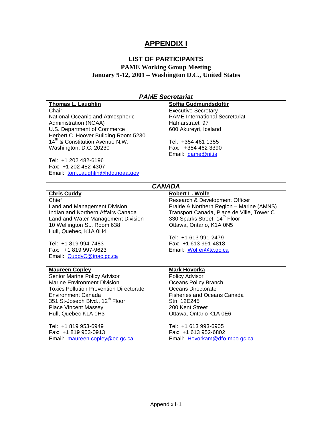# **APPENDIX I**

# **LIST OF PARTICIPANTS**

### **PAME Working Group Meeting January 9-12, 2001 – Washington D.C., United States**

| <b>Thomas L. Laughlin</b><br>Soffia Gudmundsdottir<br>Chair<br><b>Executive Secretary</b><br><b>PAME International Secretariat</b><br>National Oceanic and Atmospheric<br>Administration (NOAA)<br>Hafnarstraeti 97<br>U.S. Department of Commerce<br>600 Akureyri, Iceland<br>Herbert C. Hoover Building Room 5230<br>14 <sup>th</sup> & Constitution Avenue N.W.<br>Tel: +354 461 1355<br>Washington, D.C. 20230<br>Fax: +354 462 3390<br>Email: pame@ni.is<br>Tel: +1 202 482-6196<br>Fax: +1 202 482-4307<br>Email: tom.Laughlin@hdq.noaa.gov<br><b>CANADA</b><br>Robert L. Wolfe<br><b>Chris Cuddy</b><br>Research & Development Officer<br>Chief<br>Prairie & Northern Region - Marine (AMNS)<br>Land and Management Division | <b>PAME Secretariat</b>            |                                           |  |  |
|-------------------------------------------------------------------------------------------------------------------------------------------------------------------------------------------------------------------------------------------------------------------------------------------------------------------------------------------------------------------------------------------------------------------------------------------------------------------------------------------------------------------------------------------------------------------------------------------------------------------------------------------------------------------------------------------------------------------------------------|------------------------------------|-------------------------------------------|--|--|
|                                                                                                                                                                                                                                                                                                                                                                                                                                                                                                                                                                                                                                                                                                                                     |                                    |                                           |  |  |
|                                                                                                                                                                                                                                                                                                                                                                                                                                                                                                                                                                                                                                                                                                                                     |                                    |                                           |  |  |
|                                                                                                                                                                                                                                                                                                                                                                                                                                                                                                                                                                                                                                                                                                                                     |                                    |                                           |  |  |
|                                                                                                                                                                                                                                                                                                                                                                                                                                                                                                                                                                                                                                                                                                                                     |                                    |                                           |  |  |
|                                                                                                                                                                                                                                                                                                                                                                                                                                                                                                                                                                                                                                                                                                                                     |                                    |                                           |  |  |
|                                                                                                                                                                                                                                                                                                                                                                                                                                                                                                                                                                                                                                                                                                                                     |                                    |                                           |  |  |
|                                                                                                                                                                                                                                                                                                                                                                                                                                                                                                                                                                                                                                                                                                                                     |                                    |                                           |  |  |
|                                                                                                                                                                                                                                                                                                                                                                                                                                                                                                                                                                                                                                                                                                                                     |                                    |                                           |  |  |
|                                                                                                                                                                                                                                                                                                                                                                                                                                                                                                                                                                                                                                                                                                                                     |                                    |                                           |  |  |
|                                                                                                                                                                                                                                                                                                                                                                                                                                                                                                                                                                                                                                                                                                                                     |                                    |                                           |  |  |
|                                                                                                                                                                                                                                                                                                                                                                                                                                                                                                                                                                                                                                                                                                                                     |                                    |                                           |  |  |
|                                                                                                                                                                                                                                                                                                                                                                                                                                                                                                                                                                                                                                                                                                                                     |                                    |                                           |  |  |
|                                                                                                                                                                                                                                                                                                                                                                                                                                                                                                                                                                                                                                                                                                                                     |                                    |                                           |  |  |
|                                                                                                                                                                                                                                                                                                                                                                                                                                                                                                                                                                                                                                                                                                                                     |                                    |                                           |  |  |
|                                                                                                                                                                                                                                                                                                                                                                                                                                                                                                                                                                                                                                                                                                                                     |                                    |                                           |  |  |
|                                                                                                                                                                                                                                                                                                                                                                                                                                                                                                                                                                                                                                                                                                                                     |                                    |                                           |  |  |
|                                                                                                                                                                                                                                                                                                                                                                                                                                                                                                                                                                                                                                                                                                                                     |                                    |                                           |  |  |
|                                                                                                                                                                                                                                                                                                                                                                                                                                                                                                                                                                                                                                                                                                                                     | Indian and Northern Affairs Canada | Transport Canada, Place de Ville, Tower C |  |  |
| 330 Sparks Street, 14 <sup>th</sup> Floor<br>Land and Water Management Division                                                                                                                                                                                                                                                                                                                                                                                                                                                                                                                                                                                                                                                     |                                    |                                           |  |  |
| Ottawa, Ontario, K1A 0N5<br>10 Wellington St., Room 638                                                                                                                                                                                                                                                                                                                                                                                                                                                                                                                                                                                                                                                                             |                                    |                                           |  |  |
| Hull, Quebec, K1A 0H4                                                                                                                                                                                                                                                                                                                                                                                                                                                                                                                                                                                                                                                                                                               |                                    |                                           |  |  |
| Tel: +1 613 991-2479                                                                                                                                                                                                                                                                                                                                                                                                                                                                                                                                                                                                                                                                                                                |                                    |                                           |  |  |
| Fax: +1 613 991-4818<br>Tel: +1 819 994-7483                                                                                                                                                                                                                                                                                                                                                                                                                                                                                                                                                                                                                                                                                        |                                    |                                           |  |  |
| Fax: +1 819 997-9623<br>Email: Wolfer@tc.gc.ca                                                                                                                                                                                                                                                                                                                                                                                                                                                                                                                                                                                                                                                                                      |                                    |                                           |  |  |
| Email: CuddyC@inac.gc.ca                                                                                                                                                                                                                                                                                                                                                                                                                                                                                                                                                                                                                                                                                                            |                                    |                                           |  |  |
|                                                                                                                                                                                                                                                                                                                                                                                                                                                                                                                                                                                                                                                                                                                                     |                                    |                                           |  |  |
| <b>Mark Hovorka</b><br><b>Maureen Copley</b>                                                                                                                                                                                                                                                                                                                                                                                                                                                                                                                                                                                                                                                                                        |                                    |                                           |  |  |
| Senior Marine Policy Advisor<br>Policy Advisor                                                                                                                                                                                                                                                                                                                                                                                                                                                                                                                                                                                                                                                                                      |                                    |                                           |  |  |
| <b>Marine Environment Division</b><br><b>Oceans Policy Branch</b>                                                                                                                                                                                                                                                                                                                                                                                                                                                                                                                                                                                                                                                                   |                                    |                                           |  |  |
| <b>Toxics Pollution Prevention Directorate</b><br>Oceans Directorate                                                                                                                                                                                                                                                                                                                                                                                                                                                                                                                                                                                                                                                                |                                    |                                           |  |  |
| <b>Environment Canada</b><br><b>Fisheries and Oceans Canada</b>                                                                                                                                                                                                                                                                                                                                                                                                                                                                                                                                                                                                                                                                     |                                    |                                           |  |  |
| 351 St-Joseph Blvd., 12 <sup>th</sup> Floor<br>Stn. 12E245                                                                                                                                                                                                                                                                                                                                                                                                                                                                                                                                                                                                                                                                          |                                    |                                           |  |  |
| <b>Place Vincent Massey</b><br>200 Kent Street                                                                                                                                                                                                                                                                                                                                                                                                                                                                                                                                                                                                                                                                                      |                                    |                                           |  |  |
| Hull, Quebec K1A 0H3<br>Ottawa, Ontario K1A 0E6                                                                                                                                                                                                                                                                                                                                                                                                                                                                                                                                                                                                                                                                                     |                                    |                                           |  |  |
|                                                                                                                                                                                                                                                                                                                                                                                                                                                                                                                                                                                                                                                                                                                                     |                                    |                                           |  |  |
| Tel: +1 819 953-6949<br>Tel: +1 613 993-6905                                                                                                                                                                                                                                                                                                                                                                                                                                                                                                                                                                                                                                                                                        |                                    |                                           |  |  |
| Fax: +1 819 953-0913<br>Fax: +1 613 952-6802                                                                                                                                                                                                                                                                                                                                                                                                                                                                                                                                                                                                                                                                                        |                                    |                                           |  |  |
| Email: maureen.copley@ec.gc.ca<br>Email: Hovorkam@dfo-mpo.gc.ca                                                                                                                                                                                                                                                                                                                                                                                                                                                                                                                                                                                                                                                                     |                                    |                                           |  |  |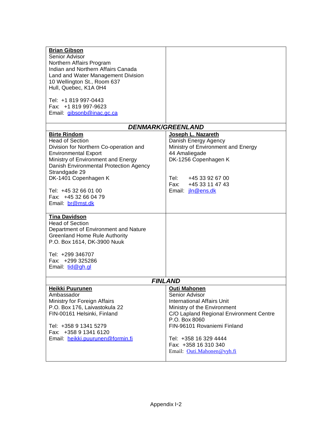| <b>Brian Gibson</b><br>Senior Advisor<br>Northern Affairs Program<br>Indian and Northern Affairs Canada<br>Land and Water Management Division<br>10 Wellington St., Room 637<br>Hull, Quebec, K1A 0H4<br>Tel: +1 819 997-0443<br>Fax: +1 819 997-9623                                                               |                                                                                                                                                                                                                                                                                     |  |  |
|---------------------------------------------------------------------------------------------------------------------------------------------------------------------------------------------------------------------------------------------------------------------------------------------------------------------|-------------------------------------------------------------------------------------------------------------------------------------------------------------------------------------------------------------------------------------------------------------------------------------|--|--|
| Email: gibsonb@inac.gc.ca                                                                                                                                                                                                                                                                                           |                                                                                                                                                                                                                                                                                     |  |  |
|                                                                                                                                                                                                                                                                                                                     | <b>DENMARK/GREENLAND</b>                                                                                                                                                                                                                                                            |  |  |
| <b>Birte Rindom</b><br><b>Head of Section</b><br>Division for Northern Co-operation and<br><b>Environmental Export</b><br>Ministry of Environment and Energy<br>Danish Environmental Protection Agency<br>Strandgade 29<br>DK-1401 Copenhagen K<br>Tel: +45 32 66 01 00<br>Fax: +45 32 66 04 79<br>Email: br@mst.dk | Joseph L. Nazareth<br>Danish Energy Agency<br>Ministry of Environment and Energy<br>44 Amaliegade<br>DK-1256 Copenhagen K<br>Tel: I<br>+45 33 92 67 00<br>Fax:<br>+45 33 11 47 43<br>Email: <i>jln@ens.dk</i>                                                                       |  |  |
| <b>Tina Davidson</b><br><b>Head of Section</b><br>Department of Environment and Nature<br><b>Greenland Home Rule Authority</b><br>P.O. Box 1614, DK-3900 Nuuk<br>Tel: +299 346707<br>Fax: +299 325286<br>Email: tid@gh.gl                                                                                           |                                                                                                                                                                                                                                                                                     |  |  |
| <b>FINLAND</b>                                                                                                                                                                                                                                                                                                      |                                                                                                                                                                                                                                                                                     |  |  |
| <b>Heikki Puurunen</b><br>Ambassador<br>Ministry for Foreign Affairs<br>P.O. Box 176, Laivastokula 22<br>FIN-00161 Helsinki, Finland<br>Tel: +358 9 1341 5279<br>Fax: +358 9 1341 6120<br>Email: heikki.puurunen@formin.fi                                                                                          | <b>Outi Mahonen</b><br>Senior Advisor<br><b>International Affairs Unit</b><br>Ministry of the Environment<br>C/O Lapland Regional Environment Centre<br>P.O. Box 8060<br>FIN-96101 Rovaniemi Finland<br>Tel: +358 16 329 4444<br>Fax: +358 16 310 340<br>Email: Outi.Mahonen@vyh.fi |  |  |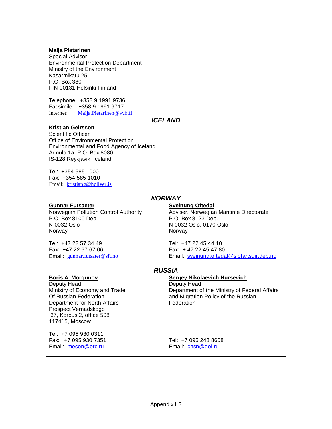| <b>Maija Pietarinen</b>                                |                                                              |  |  |
|--------------------------------------------------------|--------------------------------------------------------------|--|--|
| Special Advisor                                        |                                                              |  |  |
| <b>Environmental Protection Department</b>             |                                                              |  |  |
| Ministry of the Environment                            |                                                              |  |  |
| Kasarmikatu 25<br>P.O. Box 380                         |                                                              |  |  |
| FIN-00131 Helsinki Finland                             |                                                              |  |  |
|                                                        |                                                              |  |  |
| Telephone: +358 9 1991 9736                            |                                                              |  |  |
| Facsimile: +358 9 1991 9717                            |                                                              |  |  |
| Internet: Maija.Pietarinen@vyh.fi                      |                                                              |  |  |
|                                                        | <b>ICELAND</b>                                               |  |  |
| <b>Kristjan Geirsson</b><br>Scientific Officer         |                                                              |  |  |
| <b>Office of Environmental Protection</b>              |                                                              |  |  |
| Environmental and Food Agency of Iceland               |                                                              |  |  |
| Armula 1a, P.O. Box 8080                               |                                                              |  |  |
| IS-128 Reykjavik, Iceland                              |                                                              |  |  |
|                                                        |                                                              |  |  |
| Tel: +354 585 1000                                     |                                                              |  |  |
| Fax: +354 585 1010                                     |                                                              |  |  |
| Email: kristjang@hollver.is                            |                                                              |  |  |
|                                                        |                                                              |  |  |
|                                                        | <b>NORWAY</b>                                                |  |  |
| <b>Gunnar Futsaeter</b>                                | <b>Sveinung Oftedal</b>                                      |  |  |
| Norwegian Pollution Control Authority                  | Adviser, Norwegian Maritime Directorate                      |  |  |
| P.O. Box 8100 Dep.<br>N-0032 Oslo                      | P.O. Box 8123 Dep.<br>N-0032 Oslo, 0170 Oslo                 |  |  |
| Norway                                                 | Norway                                                       |  |  |
|                                                        |                                                              |  |  |
| Tel: +47 22 57 34 49                                   | Tel: +47 22 45 44 10                                         |  |  |
| Fax: +47 22 67 67 06                                   | Fax: +47 22 45 47 80                                         |  |  |
| Email: gunnar.futsater@sft.no                          | Email: sveinung.oftedal@sjofartsdir.dep.no                   |  |  |
|                                                        |                                                              |  |  |
| <b>RUSSIA</b>                                          |                                                              |  |  |
| <b>Boris A. Morgunov</b>                               | <b>Sergey Nikolaevich Hursevich</b>                          |  |  |
| Deputy Head                                            | Deputy Head<br>Department of the Ministry of Federal Affairs |  |  |
| Ministry of Economy and Trade<br>Of Russian Federation | and Migration Policy of the Russian                          |  |  |
| Department for North Affairs                           | Federation                                                   |  |  |
| Prospect Vernadskogo                                   |                                                              |  |  |
| 37, Korpus 2, office 508                               |                                                              |  |  |
| 117415, Moscow                                         |                                                              |  |  |
|                                                        |                                                              |  |  |
| Tel: +7 095 930 0311                                   |                                                              |  |  |
| Fax: +7 095 930 7351                                   |                                                              |  |  |
| Email: mecon@orc.ru                                    | Tel: +7 095 248 8608<br>Email: chsn@dol.ru                   |  |  |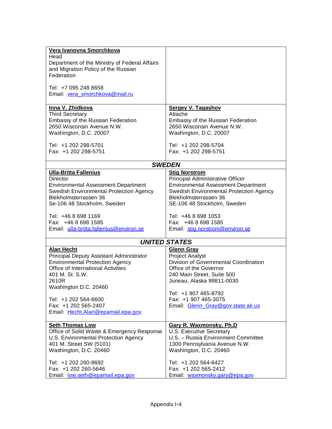| Vera Ivanovna Smorchkova                                                           |                                                                 |
|------------------------------------------------------------------------------------|-----------------------------------------------------------------|
| Head                                                                               |                                                                 |
| Department of the Ministry of Federal Affairs                                      |                                                                 |
| and Migration Policy of the Russian                                                |                                                                 |
| Federation                                                                         |                                                                 |
|                                                                                    |                                                                 |
| Tel: +7 095 248 8658                                                               |                                                                 |
| Email: vera smorchkova@mail.ru                                                     |                                                                 |
|                                                                                    |                                                                 |
| Inna V. Zhidkova                                                                   | <b>Sergey V. Tagashov</b>                                       |
| <b>Third Secretary</b>                                                             | Attache                                                         |
| Embassy of the Russian Federation                                                  | <b>Embassy of the Russian Federation</b>                        |
| 2650 Wisconsin Avenue N.W.                                                         | 2650 Wisconsin Avenue N.W.                                      |
| Washington, D.C. 20007                                                             | Washington, D.C. 20007                                          |
|                                                                                    |                                                                 |
| Tel: +1 202 298-5701                                                               | Tel: +1 202 298-5704                                            |
| Fax: +1 202 298-5751                                                               | Fax: +1 202 298-5751                                            |
|                                                                                    |                                                                 |
|                                                                                    | <b>SWEDEN</b>                                                   |
| <b>Ulla-Britta Fallenius</b>                                                       | <b>Stig Norstrom</b>                                            |
| Director                                                                           | Principal Administrative Officer                                |
| <b>Environmental Assessment Department</b>                                         | <b>Environmental Assessment Department</b>                      |
| Swedish Environmental Protection Agency                                            | Swedish Environmental Protection Agency                         |
| Blekholmsterrassen 36                                                              | Blekholmsterrassen 36                                           |
| Se-106 48 Stockholm, Sweden                                                        | SE-106 48 Stockholm, Sweden                                     |
|                                                                                    |                                                                 |
| Tel: +46 8 698 1169                                                                | Tel: +46 8 698 1053                                             |
| Fax: +46 8 698 1585                                                                | Fax: +46 8 698 1585                                             |
| Email: ulla-britta.fallenius@environ.se                                            | Email: stig.norstrom@environ.se                                 |
|                                                                                    | <b>UNITED STATES</b>                                            |
|                                                                                    |                                                                 |
| <b>Alan Hecht</b>                                                                  | <b>Glenn Gray</b>                                               |
| Principal Deputy Assistant Administrator<br><b>Environmental Protection Agency</b> | <b>Project Analyst</b><br>Division of Governmental Coordination |
| <b>Office of International Activities</b>                                          | Office of the Governor                                          |
| 401 M. St. S.W.                                                                    | 240 Main Street, Suite 500                                      |
| 2610R                                                                              | Juneau, Alaska 99811-0030                                       |
| Washington D.C. 20460                                                              |                                                                 |
|                                                                                    | Tel: +1 907 465-8792                                            |
| Tel: +1 202 564-6600                                                               | Fax: +1 907 465-3075                                            |
| Fax: +1 202 565-2407                                                               | Email: Glenn Gray@gov.state.ak.us                               |
| Email: Hecht.Alan@epamail.epa.gov                                                  |                                                                 |
|                                                                                    |                                                                 |
| <b>Seth Thomas Low</b>                                                             | Gary R. Waxmonsky, Ph.D                                         |
| Office of Solid Waste & Emergency Response                                         | U.S. Executive Secretary                                        |
| U.S. Environmental Protection Agency                                               | U.S. - Russia Environment Committee                             |
| 401 M. Street SW (5101)                                                            | 1300 Pennsylvania Avenue N.W.                                   |
| Washington, D.C. 20460                                                             | Washington, D.C. 20460                                          |
|                                                                                    |                                                                 |
| Tel: +1 202 260-8692                                                               | Tel: +1 202 564-6427                                            |
| Fax: +1 202 260-5646                                                               | Fax: +1 202 565-2412                                            |
| Email: <u>low.seth@epamail.epa.gov</u>                                             | Email waxmonsky.gary@epa.gov                                    |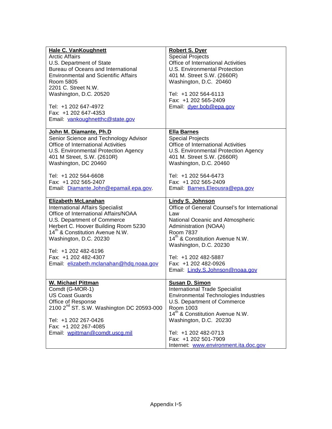| <b>Hale C. VanKoughnett</b><br><b>Arctic Affairs</b><br>U.S. Department of State<br>Bureau of Oceans and International<br><b>Environmental and Scientific Affairs</b><br>Room 5805<br>2201 C. Street N.W.<br>Washington, D.C. 20520<br>Tel: +1 202 647-4972<br>Fax: +1 202 647-4353 | <b>Robert S. Dyer</b><br><b>Special Projects</b><br>Office of International Activities<br>U.S. Environmental Protection<br>401 M. Street S.W. (2660R)<br>Washington, D.C. 20460<br>Tel: +1 202 564-6113<br>Fax: +1 202 565-2409<br>Email: dyer.bob@epa.gov |
|-------------------------------------------------------------------------------------------------------------------------------------------------------------------------------------------------------------------------------------------------------------------------------------|------------------------------------------------------------------------------------------------------------------------------------------------------------------------------------------------------------------------------------------------------------|
| Email: vankoughnetthc@state.gov                                                                                                                                                                                                                                                     |                                                                                                                                                                                                                                                            |
| John M. Diamante, Ph.D                                                                                                                                                                                                                                                              | <b>Ella Barnes</b>                                                                                                                                                                                                                                         |
| Senior Science and Technology Advisor                                                                                                                                                                                                                                               | <b>Special Projects</b>                                                                                                                                                                                                                                    |
| Office of International Activities                                                                                                                                                                                                                                                  | Office of International Activities                                                                                                                                                                                                                         |
| U.S. Environmental Protection Agency                                                                                                                                                                                                                                                | U.S. Environmental Protection Agency                                                                                                                                                                                                                       |
| 401 M Street, S.W. (2610R)                                                                                                                                                                                                                                                          | 401 M. Street S.W. (2660R)                                                                                                                                                                                                                                 |
| Washington, DC 20460                                                                                                                                                                                                                                                                | Washington, D.C. 20460                                                                                                                                                                                                                                     |
| Tel: +1 202 564-6608                                                                                                                                                                                                                                                                | Tel: +1 202 564-6473                                                                                                                                                                                                                                       |
| Fax: +1 202 565-2407                                                                                                                                                                                                                                                                | Fax: +1 202 565-2409                                                                                                                                                                                                                                       |
| Email: Diamante.John@epamail.epa.gov.                                                                                                                                                                                                                                               | Email: Barnes.Eleousra@epa.gov                                                                                                                                                                                                                             |
| <b>Elizabeth McLanahan</b>                                                                                                                                                                                                                                                          | <b>Lindy S. Johnson</b>                                                                                                                                                                                                                                    |
| <b>International Affairs Specialist</b>                                                                                                                                                                                                                                             | Office of General Counsel's for International                                                                                                                                                                                                              |
| Office of International Affairs/NOAA                                                                                                                                                                                                                                                | Law                                                                                                                                                                                                                                                        |
| U.S. Department of Commerce                                                                                                                                                                                                                                                         | National Oceanic and Atmospheric                                                                                                                                                                                                                           |
| Herbert C. Hoover Building Room 5230                                                                                                                                                                                                                                                | Administration (NOAA)                                                                                                                                                                                                                                      |
| 14 <sup>th</sup> & Constitution Avenue N.W.<br>Washington, D.C. 20230                                                                                                                                                                                                               | Room 7837<br>14 <sup>th</sup> & Constitution Avenue N.W.<br>Washington, D.C. 20230                                                                                                                                                                         |
| Tel: +1 202 482-6196                                                                                                                                                                                                                                                                | Tel: +1 202 482-5887                                                                                                                                                                                                                                       |
| Fax: +1 202 482-4307                                                                                                                                                                                                                                                                | Fax: +1 202 482-0926                                                                                                                                                                                                                                       |
| Email: elizabeth.mclanahan@hdq.noaa.gov                                                                                                                                                                                                                                             | Email: Lindy.S.Johnson@noaa.gov                                                                                                                                                                                                                            |
| <b>W. Michael Pittman</b>                                                                                                                                                                                                                                                           | <b>Susan D. Simon</b>                                                                                                                                                                                                                                      |
| Comdt (G-MOR-1)                                                                                                                                                                                                                                                                     | <b>International Trade Specialist</b>                                                                                                                                                                                                                      |
| <b>US Coast Guards</b>                                                                                                                                                                                                                                                              | <b>Environmental Technologies Industries</b>                                                                                                                                                                                                               |
| Office of Response                                                                                                                                                                                                                                                                  | U.S. Department of Commerce                                                                                                                                                                                                                                |
| 2100 2 <sup>nd</sup> ST. S.W. Washington DC 20593-000                                                                                                                                                                                                                               | Room 1003                                                                                                                                                                                                                                                  |
| Tel: +1 202 267-0426                                                                                                                                                                                                                                                                | 14 <sup>th</sup> & Constitution Avenue N.W.                                                                                                                                                                                                                |
| Fax: +1 202 267-4085                                                                                                                                                                                                                                                                | Washington, D.C. 20230                                                                                                                                                                                                                                     |
| Email: wpittman@comdt.uscg.mil                                                                                                                                                                                                                                                      | Tel: +1 202 482-0713                                                                                                                                                                                                                                       |
|                                                                                                                                                                                                                                                                                     | Fax: +1 202 501-7909                                                                                                                                                                                                                                       |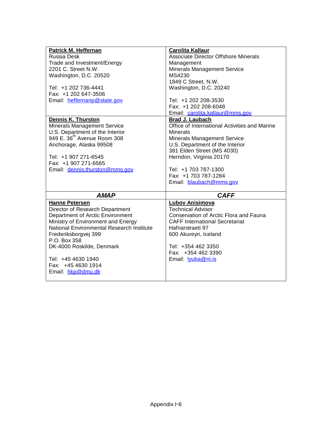| <b>Patrick M. Heffernan</b><br>Russia Desk<br>Trade and Investment/Energy<br>2201 C. Street N.W.<br>Washington, D.C. 20520<br>Tel: +1 202 736-4441<br>Fax: +1 202 647-3506<br>Email: heffernanp@state.gov<br>Dennis K. Thurston<br><b>Minerals Management Service</b><br>U.S. Department of the Interior<br>949 E. 36 <sup>th</sup> Avenue Room 308<br>Anchorage, Alaska 99508<br>Tel: +1 907 271-6545<br>Fax: +1 907 271-6565<br>Email: dennis.thurston@mms.gov | <b>Carolita Kallaur</b><br>Associate Director Offshore Minerals<br>Management<br><b>Minerals Management Service</b><br>MS4230<br>1849 C Street, N.W.<br>Washington, D.C. 20240<br>Tel: +1 202 208-3530<br>Fax: +1 202 208-6048<br>Email: carolita.kallaur@mms.gov<br>Brad J. Laubach<br>Office of International Activities and Marine<br><b>Minerals</b><br><b>Minerals Management Service</b><br>U.S. Department of the Interior<br>381 Elden Street (MS 4030)<br>Herndon, Virginia 20170<br>Tel: +1 703 787-1300<br>Fax: +1 703 787-1284<br>Email: blaubach@mms.gov |
|------------------------------------------------------------------------------------------------------------------------------------------------------------------------------------------------------------------------------------------------------------------------------------------------------------------------------------------------------------------------------------------------------------------------------------------------------------------|-----------------------------------------------------------------------------------------------------------------------------------------------------------------------------------------------------------------------------------------------------------------------------------------------------------------------------------------------------------------------------------------------------------------------------------------------------------------------------------------------------------------------------------------------------------------------|
| <b>AMAP</b>                                                                                                                                                                                                                                                                                                                                                                                                                                                      | <b>CAFF</b>                                                                                                                                                                                                                                                                                                                                                                                                                                                                                                                                                           |
| <b>Hanne Petersen</b><br>Director of Research Department<br>Department of Arctic Environment<br>Ministry of Environment and Energy<br>National Environmental Research Institute<br>Frederiksborgvej 399<br>P.O. Box 358<br>DK-4000 Roskilde, Denmark<br>Tel: +45 4630 1940<br>Fax: +45 4630 1914<br>Email: hkp@dmu.dk                                                                                                                                            | <b>Lubov Anisimova</b><br><b>Technical Advisor</b><br>Conservation of Arctic Flora and Fauna<br><b>CAFF International Secretariat</b><br>Hafnarstraeti 97<br>600 Akureyri, Iceland<br>Tel: +354 462 3350<br>Fax: +354 462 3390<br>Email: <b>lyuba@ni.is</b>                                                                                                                                                                                                                                                                                                           |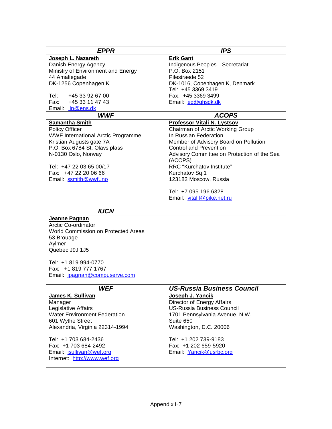| <b>EPPR</b>                                               | <b>IPS</b>                                                |
|-----------------------------------------------------------|-----------------------------------------------------------|
| Joseph L. Nazareth                                        | <b>Erik Gant</b>                                          |
| Danish Energy Agency                                      | Indigenous Peoples' Secretariat                           |
| Ministry of Environment and Energy                        | P.O. Box 2151                                             |
| 44 Amaliegade                                             | Pilestraede 52                                            |
| DK-1256 Copenhagen K                                      | DK-1016, Copenhagen K, Denmark                            |
|                                                           | Tel: +45 3369 3419                                        |
| Tel:<br>+45 33 92 67 00                                   | Fax: +45 3369 3499                                        |
| Fax: +45 33 11 47 43                                      | Email: eg@ghsdk.dk                                        |
| Email: <i>jln@ens.dk</i>                                  |                                                           |
| <b>WWF</b>                                                | <b>ACOPS</b>                                              |
| <b>Samantha Smith</b>                                     | <b>Professor Vitali N. Lystsov</b>                        |
| Policy Officer                                            | Chairman of Arctic Working Group<br>In Russian Federation |
| <b>WWF International Arctic Programme</b>                 | Member of Advisory Board on Pollution                     |
| Kristian Augusts gate 7A<br>P.O. Box 6784 St. Olavs plass | <b>Control and Prevention</b>                             |
| N-0130 Oslo, Norway                                       | Advisory Committee on Protection of the Sea               |
|                                                           | (ACOPS)                                                   |
| Tel: +47 22 03 65 00/17                                   | RRC "Kurchatov Institute"                                 |
| Fax: +47 22 20 06 66                                      | Kurchatov Sq.1                                            |
| Email: ssmith@wwfno                                       | 123182 Moscow, Russia                                     |
|                                                           |                                                           |
|                                                           | Tel: +7 095 196 6328                                      |
|                                                           | Email: vitalil@pike.net.ru                                |
|                                                           |                                                           |
| <b>IUCN</b>                                               |                                                           |
| Jeanne Pagnan                                             |                                                           |
| Arctic Co-ordinator                                       |                                                           |
| World Commission on Protected Areas                       |                                                           |
| 53 Brouage                                                |                                                           |
| Aylmer                                                    |                                                           |
| Quebec J9J 1J5                                            |                                                           |
| Tel: +1 819 994-0770                                      |                                                           |
| Fax: +1 819 777 1767                                      |                                                           |
| Email: jpagnan@compuserve.com                             |                                                           |
|                                                           |                                                           |
| <b>WEF</b>                                                | <b>US-Russia Business Council</b>                         |
| James K. Sullivan                                         | Joseph J. Yancik                                          |
| Manager                                                   | Director of Energy Affairs                                |
| Legislative Affairs                                       | <b>US-Russia Business Council</b>                         |
| <b>Water Environment Federation</b>                       | 1701 Pennsylvania Avenue, N.W.                            |
| 601 Wythe Street                                          | Suite 650                                                 |
| Alexandria, Virginia 22314-1994                           | Washington, D.C. 20006                                    |
|                                                           |                                                           |
| Tel: +1 703 684-2436                                      | Tel: +1 202 739-9183                                      |
| Fax: +1 703 684-2492                                      | Fax: +1 202 659-5920                                      |
| Email: jsullivan@wef.org<br>Internet: http://www.wef.org  | Email: Yancik@usrbc.org                                   |
|                                                           |                                                           |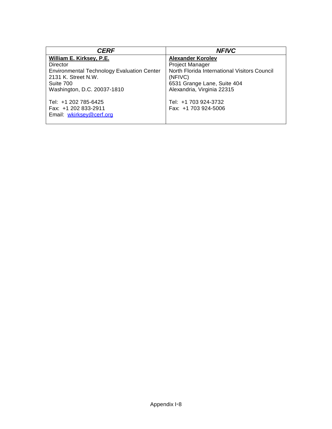| <b>CERF</b>                                                                                                                                                  | <b>NFIVC</b>                                                                                                                                                        |
|--------------------------------------------------------------------------------------------------------------------------------------------------------------|---------------------------------------------------------------------------------------------------------------------------------------------------------------------|
| William E. Kirksey, P.E.<br>Director<br><b>Environmental Technology Evaluation Center</b><br>2131 K. Street N.W.<br>Suite 700<br>Washington, D.C. 20037-1810 | <b>Alexander Korolev</b><br>Project Manager<br>North Florida International Visitors Council<br>(NFIVC)<br>6531 Grange Lane, Suite 404<br>Alexandria, Virginia 22315 |
| Tel: +1 202 785-6425<br>Fax: +1 202 833-2911<br>Email: wkirksey@cerf.org                                                                                     | Tel: +1 703 924-3732<br>Fax: +1 703 924-5006                                                                                                                        |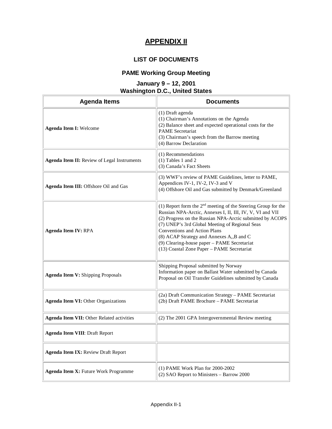### **APPENDIX II**

#### **LIST OF DOCUMENTS**

# **PAME Working Group Meeting**

#### **January 9 – 12, 2001 Washington D.C., United States**

| <b>Agenda Items</b>                              | <b>Documents</b>                                                                                                                                                                                                                                                                                                                                                                                                     |
|--------------------------------------------------|----------------------------------------------------------------------------------------------------------------------------------------------------------------------------------------------------------------------------------------------------------------------------------------------------------------------------------------------------------------------------------------------------------------------|
| <b>Agenda Item I: Welcome</b>                    | (1) Draft agenda<br>(1) Chairman's Annotations on the Agenda<br>(2) Balance sheet and expected operational costs for the<br><b>PAME</b> Secretariat<br>(3) Chairman's speech from the Barrow meeting<br>(4) Barrow Declaration                                                                                                                                                                                       |
| Agenda Item II: Review of Legal Instruments      | (1) Recommendations<br>$(1)$ Tables 1 and 2<br>(3) Canada's Fact Sheets                                                                                                                                                                                                                                                                                                                                              |
| Agenda Item III: Offshore Oil and Gas            | (3) WWF's review of PAME Guidelines, letter to PAME,<br>Appendices IV-1, IV-2, IV-3 and V<br>(4) Offshore Oil and Gas submitted by Denmark/Greenland                                                                                                                                                                                                                                                                 |
| <b>Agenda Item IV: RPA</b>                       | (1) Report form the $2nd$ meeting of the Steering Group for the<br>Russian NPA-Arctic, Annexes I, II, III, IV, V, VI and VII<br>(2) Progress on the Russian NPA-Arctic submitted by ACOPS<br>(7) UNEP's 3rd Global Meeting of Regional Seas<br>Conventions and Action Plans<br>(8) ACAP Strategy and Annexes A,,B and C<br>(9) Clearing-house paper - PAME Secretariat<br>(13) Coastal Zone Paper - PAME Secretariat |
| <b>Agenda Item V: Shipping Proposals</b>         | Shipping Proposal submitted by Norway<br>Information paper on Ballast Water submitted by Canada<br>Proposal on Oil Transfer Guidelines submitted by Canada                                                                                                                                                                                                                                                           |
| <b>Agenda Item VI: Other Organizations</b>       | (2a) Draft Communication Strategy - PAME Secretariat<br>(2b) Draft PAME Brochure - PAME Secretariat                                                                                                                                                                                                                                                                                                                  |
| <b>Agenda Item VII: Other Related activities</b> | (2) The 2001 GPA Intergovernmental Review meeting                                                                                                                                                                                                                                                                                                                                                                    |
| <b>Agenda Item VIII: Draft Report</b>            |                                                                                                                                                                                                                                                                                                                                                                                                                      |
| <b>Agenda Item IX: Review Draft Report</b>       |                                                                                                                                                                                                                                                                                                                                                                                                                      |
| Agenda Item X: Future Work Programme             | (1) PAME Work Plan for 2000-2002<br>(2) SAO Report to Ministers - Barrow 2000                                                                                                                                                                                                                                                                                                                                        |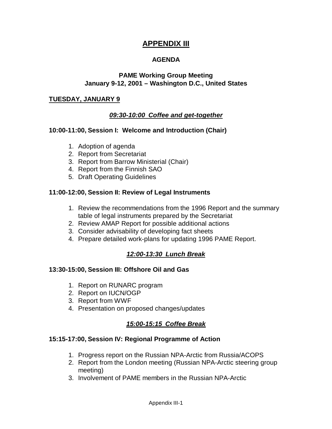### **APPENDIX III**

#### **AGENDA**

#### **PAME Working Group Meeting January 9-12, 2001 – Washington D.C., United States**

#### **TUESDAY, JANUARY 9**

#### **09:30-10:00 Coffee and get-together**

#### **10:00-11:00, Session I: Welcome and Introduction (Chair)**

- 1. Adoption of agenda
- 2. Report from Secretariat
- 3. Report from Barrow Ministerial (Chair)
- 4. Report from the Finnish SAO
- 5. Draft Operating Guidelines

#### **11:00-12:00, Session II: Review of Legal Instruments**

- 1. Review the recommendations from the 1996 Report and the summary table of legal instruments prepared by the Secretariat
- 2. Review AMAP Report for possible additional actions
- 3. Consider advisability of developing fact sheets
- 4. Prepare detailed work-plans for updating 1996 PAME Report.

#### **12:00-13:30 Lunch Break**

#### **13:30-15:00, Session III: Offshore Oil and Gas**

- 1. Report on RUNARC program
- 2. Report on IUCN/OGP
- 3. Report from WWF
- 4. Presentation on proposed changes/updates

#### **15:00-15:15 Coffee Break**

### **15:15-17:00, Session IV: Regional Programme of Action**

- 1. Progress report on the Russian NPA-Arctic from Russia/ACOPS
- 2. Report from the London meeting (Russian NPA-Arctic steering group meeting)
- 3. Involvement of PAME members in the Russian NPA-Arctic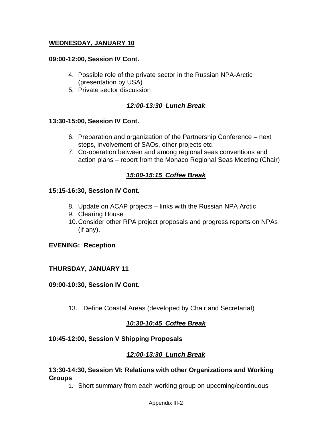#### **WEDNESDAY, JANUARY 10**

#### **09:00-12:00, Session IV Cont.**

- 4. Possible role of the private sector in the Russian NPA-Arctic (presentation by USA)
- 5. Private sector discussion

#### **12:00-13:30 Lunch Break**

#### **13:30-15:00, Session IV Cont.**

- 6. Preparation and organization of the Partnership Conference next steps, involvement of SAOs, other projects etc.
- 7. Co-operation between and among regional seas conventions and action plans – report from the Monaco Regional Seas Meeting (Chair)

#### **15:00-15:15 Coffee Break**

#### **15:15-16:30, Session IV Cont.**

- 8. Update on ACAP projects links with the Russian NPA Arctic
- 9. Clearing House
- 10.Consider other RPA project proposals and progress reports on NPAs (if any).

#### **EVENING: Reception**

#### **THURSDAY, JANUARY 11**

#### **09:00-10:30, Session IV Cont.**

13. Define Coastal Areas (developed by Chair and Secretariat)

#### **10:30-10:45 Coffee Break**

#### **10:45-12:00, Session V Shipping Proposals**

#### **12:00-13:30 Lunch Break**

#### **13:30-14:30, Session VI: Relations with other Organizations and Working Groups**

1. Short summary from each working group on upcoming/continuous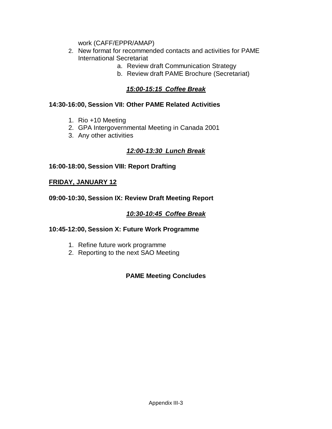work (CAFF/EPPR/AMAP)

- 2. New format for recommended contacts and activities for PAME International Secretariat
	- a. Review draft Communication Strategy
	- b. Review draft PAME Brochure (Secretariat)

### **15:00-15:15 Coffee Break**

#### **14:30-16:00, Session VII: Other PAME Related Activities**

- 1. Rio +10 Meeting
- 2. GPA Intergovernmental Meeting in Canada 2001
- 3. Any other activities

### **12:00-13:30 Lunch Break**

### **16:00-18:00, Session VIII: Report Drafting**

#### **FRIDAY, JANUARY 12**

### **09:00-10:30, Session IX: Review Draft Meeting Report**

### **10:30-10:45 Coffee Break**

#### **10:45-12:00, Session X: Future Work Programme**

- 1. Refine future work programme
- 2. Reporting to the next SAO Meeting

### **PAME Meeting Concludes**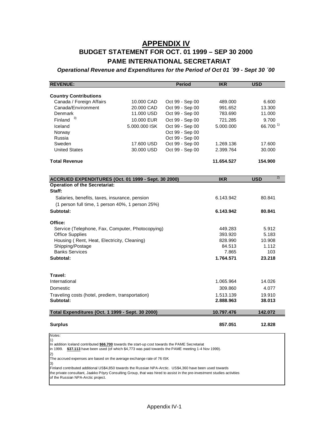### **APPENDIX IV BUDGET STATEMENT FOR OCT. 01 1999 – SEP 30 2000 PAME INTERNATIONAL SECRETARIAT**

**Operational Revenue and Expenditures for the Period of Oct 01 ´99 - Sept 30 ´00** 

| <b>REVENUE:</b>                                                                                                                                                                                                                       |                          | <b>Period</b>                      | <b>IKR</b>             | <b>USD</b>           |
|---------------------------------------------------------------------------------------------------------------------------------------------------------------------------------------------------------------------------------------|--------------------------|------------------------------------|------------------------|----------------------|
|                                                                                                                                                                                                                                       |                          |                                    |                        |                      |
| <b>Country Contributions</b>                                                                                                                                                                                                          |                          |                                    |                        |                      |
| Canada / Foreign Affairs                                                                                                                                                                                                              | 10,000 CAD               | Oct 99 - Sep 00                    | 489.000                | 6.600                |
| Canada/Environment<br>Denmark                                                                                                                                                                                                         | 20.000 CAD               | Oct 99 - Sep 00                    | 991.652                | 13.300               |
| Finland $3)$                                                                                                                                                                                                                          | 11.000 USD               | Oct 99 - Sep 00                    | 783.690                | 11.000               |
|                                                                                                                                                                                                                                       | 10,000 EUR               | Oct 99 - Sep 00                    | 721.285                | 9.700                |
| Iceland                                                                                                                                                                                                                               | 5.000,000 ISK            | Oct 99 - Sep 00                    | 5.000.000              | 66.700 <sup>1)</sup> |
| Norway                                                                                                                                                                                                                                |                          | Oct 99 - Sep 00                    |                        |                      |
| Russia                                                                                                                                                                                                                                |                          | Oct 99 - Sep 00                    |                        |                      |
| Sweden<br><b>United States</b>                                                                                                                                                                                                        | 17.600 USD<br>30,000 USD | Oct 99 - Sep 00<br>Oct 99 - Sep 00 | 1.269.136<br>2.399.764 | 17.600<br>30.000     |
|                                                                                                                                                                                                                                       |                          |                                    |                        |                      |
| <b>Total Revenue</b>                                                                                                                                                                                                                  |                          |                                    | 11.654.527             | 154.900              |
|                                                                                                                                                                                                                                       |                          |                                    |                        |                      |
| ACCRUED EXPENDITURES (Oct. 01 1999 - Sept. 30 2000)                                                                                                                                                                                   |                          |                                    | <b>IKR</b>             | 2)<br><b>USD</b>     |
| <b>Operation of the Secretariat:</b><br>Staff:                                                                                                                                                                                        |                          |                                    |                        |                      |
| Salaries, benefits, taxes, insurance, pension<br>(1 person full time, 1 person 40%, 1 person 25%)                                                                                                                                     |                          |                                    | 6.143.942              | 80.841               |
| Subtotal:                                                                                                                                                                                                                             |                          |                                    | 6.143.942              | 80.841               |
|                                                                                                                                                                                                                                       |                          |                                    |                        |                      |
| Office:                                                                                                                                                                                                                               |                          |                                    |                        |                      |
| Service (Telephone, Fax, Computer, Photocopying)                                                                                                                                                                                      |                          |                                    | 449.283                | 5.912                |
| <b>Office Supplies</b>                                                                                                                                                                                                                |                          |                                    | 393.920                | 5.183                |
| Housing (Rent, Heat, Electricity, Cleaning)                                                                                                                                                                                           |                          |                                    | 828.990                | 10.908               |
| Shipping/Postage                                                                                                                                                                                                                      |                          |                                    | 84.513                 | 1.112                |
| <b>Banks Services</b>                                                                                                                                                                                                                 |                          |                                    | 7.865                  | 103                  |
| Subtotal:                                                                                                                                                                                                                             |                          |                                    | 1.764.571              | 23.218               |
|                                                                                                                                                                                                                                       |                          |                                    |                        |                      |
| Travel:<br>International                                                                                                                                                                                                              |                          |                                    | 1.065.964              | 14.026               |
| <b>Domestic</b>                                                                                                                                                                                                                       |                          |                                    | 309.860                | 4.077                |
|                                                                                                                                                                                                                                       |                          |                                    |                        |                      |
| Traveling costs (hotel, prediem, transportation)<br>Subtotal:                                                                                                                                                                         |                          |                                    | 1.513.139<br>2.888.963 | 19.910<br>38.013     |
| Total Expenditures (Oct. 1 1999 - Sept. 30 2000)                                                                                                                                                                                      |                          |                                    | 10.797.476             | 142.072              |
| <b>Surplus</b>                                                                                                                                                                                                                        |                          |                                    | 857.051                | 12.828               |
| Notes:                                                                                                                                                                                                                                |                          |                                    |                        |                      |
| 1)                                                                                                                                                                                                                                    |                          |                                    |                        |                      |
| In addition Iceland contributed \$66.700 towards the start-up cost towards the PAME Secretariat                                                                                                                                       |                          |                                    |                        |                      |
| \$37.113 have been used (of which \$4,773 was paid towards the PAME meeting 1-4 Nov 1999).<br>in 1999.<br>2)                                                                                                                          |                          |                                    |                        |                      |
| The accrued expenses are based on the average exchange rate of 76 ISK                                                                                                                                                                 |                          |                                    |                        |                      |
| 3)                                                                                                                                                                                                                                    |                          |                                    |                        |                      |
| Finland contributed additional US\$4,850 towards the Russian NPA-Arctic. US\$4,360 have been used towards<br>the private consultant, Jaakko Pöyry Consulting Group, that was hired to assist in the pre-investment studies activities |                          |                                    |                        |                      |

of the Russian NPA-Arctic project.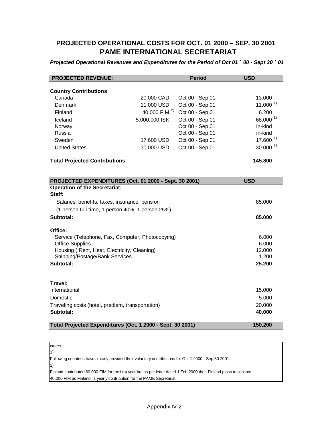### **PROJECTED OPERATIONAL COSTS FOR OCT. 01 2000 – SEP. 30 2001 PAME INTERNATIONAL SECRETARIAT**

**Projected Operational Revenues and Expenditures for the Period of Oct 01 ´ 00 - Sept 30 ´ 01** 

| <b>Country Contributions</b><br>Canada<br>20,000 CAD<br>Oct 00 - Sep 01<br>13.000<br>11.000 $^{1}$<br>Denmark<br>11.000 USD<br>Oct 00 - Sep 01<br>40.000 FIM <sup>2)</sup><br>Oct 00 - Sep 01<br>6.200<br>Finland<br>$68.000^{1}$<br>5.000.000 ISK<br>Oct 00 - Sep 01<br>Iceland<br>Oct 00 - Sep 01<br>in-kind<br>Norway<br>Oct 00 - Sep 01<br>Russia<br>in-kind<br>$17.600^{1}$<br>Sweden<br>Oct 00 - Sep 01<br>17.600 USD<br>$30.000^{1}$<br>Oct 00 - Sep 01<br><b>United States</b><br>30.000 USD<br>145.800<br><b>Total Projected Contributions</b><br><b>USD</b><br>PROJECTED EXPENDITURES (Oct. 01 2000 - Sept. 30 2001)<br><b>Operation of the Secretariat:</b><br>Staff:<br>Salaries, benefits, taxes, insurance, pension<br>85.000<br>(1 person full time, 1 person 40%, 1 person 25%)<br>Subtotal:<br>85.000<br>Office:<br>Service (Telephone, Fax, Computer, Photocopying)<br>6.000<br><b>Office Supplies</b><br>6.000<br>Housing (Rent, Heat, Electricity, Cleaning)<br>12.000<br>Shipping/Postage/Bank Services<br>1.200<br>Subtotal:<br>25.200<br>Travel:<br>International<br>15.000<br>5.000<br>Domestic<br>20.000<br>Traveling costs (hotel, prediem, transportation)<br>Subtotal:<br>40.000 | <b>PROJECTED REVENUE:</b>                                  |  | <b>Period</b> | <b>USD</b> |
|--------------------------------------------------------------------------------------------------------------------------------------------------------------------------------------------------------------------------------------------------------------------------------------------------------------------------------------------------------------------------------------------------------------------------------------------------------------------------------------------------------------------------------------------------------------------------------------------------------------------------------------------------------------------------------------------------------------------------------------------------------------------------------------------------------------------------------------------------------------------------------------------------------------------------------------------------------------------------------------------------------------------------------------------------------------------------------------------------------------------------------------------------------------------------------------------------------------|------------------------------------------------------------|--|---------------|------------|
|                                                                                                                                                                                                                                                                                                                                                                                                                                                                                                                                                                                                                                                                                                                                                                                                                                                                                                                                                                                                                                                                                                                                                                                                              |                                                            |  |               |            |
|                                                                                                                                                                                                                                                                                                                                                                                                                                                                                                                                                                                                                                                                                                                                                                                                                                                                                                                                                                                                                                                                                                                                                                                                              |                                                            |  |               |            |
|                                                                                                                                                                                                                                                                                                                                                                                                                                                                                                                                                                                                                                                                                                                                                                                                                                                                                                                                                                                                                                                                                                                                                                                                              |                                                            |  |               |            |
|                                                                                                                                                                                                                                                                                                                                                                                                                                                                                                                                                                                                                                                                                                                                                                                                                                                                                                                                                                                                                                                                                                                                                                                                              |                                                            |  |               |            |
|                                                                                                                                                                                                                                                                                                                                                                                                                                                                                                                                                                                                                                                                                                                                                                                                                                                                                                                                                                                                                                                                                                                                                                                                              |                                                            |  |               |            |
|                                                                                                                                                                                                                                                                                                                                                                                                                                                                                                                                                                                                                                                                                                                                                                                                                                                                                                                                                                                                                                                                                                                                                                                                              |                                                            |  |               |            |
|                                                                                                                                                                                                                                                                                                                                                                                                                                                                                                                                                                                                                                                                                                                                                                                                                                                                                                                                                                                                                                                                                                                                                                                                              |                                                            |  |               |            |
|                                                                                                                                                                                                                                                                                                                                                                                                                                                                                                                                                                                                                                                                                                                                                                                                                                                                                                                                                                                                                                                                                                                                                                                                              |                                                            |  |               |            |
|                                                                                                                                                                                                                                                                                                                                                                                                                                                                                                                                                                                                                                                                                                                                                                                                                                                                                                                                                                                                                                                                                                                                                                                                              |                                                            |  |               |            |
|                                                                                                                                                                                                                                                                                                                                                                                                                                                                                                                                                                                                                                                                                                                                                                                                                                                                                                                                                                                                                                                                                                                                                                                                              |                                                            |  |               |            |
|                                                                                                                                                                                                                                                                                                                                                                                                                                                                                                                                                                                                                                                                                                                                                                                                                                                                                                                                                                                                                                                                                                                                                                                                              |                                                            |  |               |            |
|                                                                                                                                                                                                                                                                                                                                                                                                                                                                                                                                                                                                                                                                                                                                                                                                                                                                                                                                                                                                                                                                                                                                                                                                              |                                                            |  |               |            |
|                                                                                                                                                                                                                                                                                                                                                                                                                                                                                                                                                                                                                                                                                                                                                                                                                                                                                                                                                                                                                                                                                                                                                                                                              |                                                            |  |               |            |
|                                                                                                                                                                                                                                                                                                                                                                                                                                                                                                                                                                                                                                                                                                                                                                                                                                                                                                                                                                                                                                                                                                                                                                                                              |                                                            |  |               |            |
|                                                                                                                                                                                                                                                                                                                                                                                                                                                                                                                                                                                                                                                                                                                                                                                                                                                                                                                                                                                                                                                                                                                                                                                                              |                                                            |  |               |            |
|                                                                                                                                                                                                                                                                                                                                                                                                                                                                                                                                                                                                                                                                                                                                                                                                                                                                                                                                                                                                                                                                                                                                                                                                              |                                                            |  |               |            |
|                                                                                                                                                                                                                                                                                                                                                                                                                                                                                                                                                                                                                                                                                                                                                                                                                                                                                                                                                                                                                                                                                                                                                                                                              |                                                            |  |               |            |
|                                                                                                                                                                                                                                                                                                                                                                                                                                                                                                                                                                                                                                                                                                                                                                                                                                                                                                                                                                                                                                                                                                                                                                                                              |                                                            |  |               |            |
|                                                                                                                                                                                                                                                                                                                                                                                                                                                                                                                                                                                                                                                                                                                                                                                                                                                                                                                                                                                                                                                                                                                                                                                                              |                                                            |  |               |            |
|                                                                                                                                                                                                                                                                                                                                                                                                                                                                                                                                                                                                                                                                                                                                                                                                                                                                                                                                                                                                                                                                                                                                                                                                              |                                                            |  |               |            |
|                                                                                                                                                                                                                                                                                                                                                                                                                                                                                                                                                                                                                                                                                                                                                                                                                                                                                                                                                                                                                                                                                                                                                                                                              |                                                            |  |               |            |
|                                                                                                                                                                                                                                                                                                                                                                                                                                                                                                                                                                                                                                                                                                                                                                                                                                                                                                                                                                                                                                                                                                                                                                                                              |                                                            |  |               |            |
|                                                                                                                                                                                                                                                                                                                                                                                                                                                                                                                                                                                                                                                                                                                                                                                                                                                                                                                                                                                                                                                                                                                                                                                                              |                                                            |  |               |            |
|                                                                                                                                                                                                                                                                                                                                                                                                                                                                                                                                                                                                                                                                                                                                                                                                                                                                                                                                                                                                                                                                                                                                                                                                              |                                                            |  |               |            |
|                                                                                                                                                                                                                                                                                                                                                                                                                                                                                                                                                                                                                                                                                                                                                                                                                                                                                                                                                                                                                                                                                                                                                                                                              |                                                            |  |               |            |
|                                                                                                                                                                                                                                                                                                                                                                                                                                                                                                                                                                                                                                                                                                                                                                                                                                                                                                                                                                                                                                                                                                                                                                                                              |                                                            |  |               |            |
|                                                                                                                                                                                                                                                                                                                                                                                                                                                                                                                                                                                                                                                                                                                                                                                                                                                                                                                                                                                                                                                                                                                                                                                                              |                                                            |  |               |            |
|                                                                                                                                                                                                                                                                                                                                                                                                                                                                                                                                                                                                                                                                                                                                                                                                                                                                                                                                                                                                                                                                                                                                                                                                              |                                                            |  |               |            |
|                                                                                                                                                                                                                                                                                                                                                                                                                                                                                                                                                                                                                                                                                                                                                                                                                                                                                                                                                                                                                                                                                                                                                                                                              |                                                            |  |               |            |
|                                                                                                                                                                                                                                                                                                                                                                                                                                                                                                                                                                                                                                                                                                                                                                                                                                                                                                                                                                                                                                                                                                                                                                                                              |                                                            |  |               |            |
|                                                                                                                                                                                                                                                                                                                                                                                                                                                                                                                                                                                                                                                                                                                                                                                                                                                                                                                                                                                                                                                                                                                                                                                                              | Total Projected Expenditures (Oct. 1 2000 - Sept. 30 2001) |  |               | 150.200    |

Notes: 1)

Following countries have already provided their voluntary contributions for Oct 1 2000 - Sep 30 2001 2)

Finland contributed 60.000 FIM for the first year but as per letter dated 1 Feb 2000 then Finland plans to allocate 40.000 FIM as Finland' s yearly contribution for the PAME Secretariat.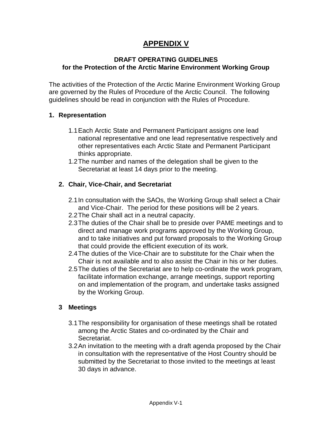# **APPENDIX V**

#### **DRAFT OPERATING GUIDELINES for the Protection of the Arctic Marine Environment Working Group**

The activities of the Protection of the Arctic Marine Environment Working Group are governed by the Rules of Procedure of the Arctic Council. The following guidelines should be read in conjunction with the Rules of Procedure.

#### **1. Representation**

- 1.1Each Arctic State and Permanent Participant assigns one lead national representative and one lead representative respectively and other representatives each Arctic State and Permanent Participant thinks appropriate.
- 1.2The number and names of the delegation shall be given to the Secretariat at least 14 days prior to the meeting.

#### **2. Chair, Vice-Chair, and Secretariat**

- 2.1In consultation with the SAOs, the Working Group shall select a Chair and Vice-Chair. The period for these positions will be 2 years.
- 2.2The Chair shall act in a neutral capacity.
- 2.3The duties of the Chair shall be to preside over PAME meetings and to direct and manage work programs approved by the Working Group, and to take initiatives and put forward proposals to the Working Group that could provide the efficient execution of its work.
- 2.4The duties of the Vice-Chair are to substitute for the Chair when the Chair is not available and to also assist the Chair in his or her duties.
- 2.5The duties of the Secretariat are to help co-ordinate the work program, facilitate information exchange, arrange meetings, support reporting on and implementation of the program, and undertake tasks assigned by the Working Group.

#### **3 Meetings**

- 3.1The responsibility for organisation of these meetings shall be rotated among the Arctic States and co-ordinated by the Chair and Secretariat.
- 3.2An invitation to the meeting with a draft agenda proposed by the Chair in consultation with the representative of the Host Country should be submitted by the Secretariat to those invited to the meetings at least 30 days in advance.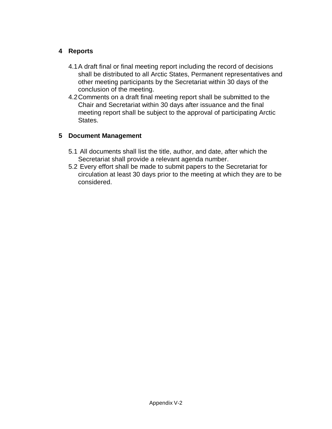### **4 Reports**

- 4.1A draft final or final meeting report including the record of decisions shall be distributed to all Arctic States, Permanent representatives and other meeting participants by the Secretariat within 30 days of the conclusion of the meeting.
- 4.2Comments on a draft final meeting report shall be submitted to the Chair and Secretariat within 30 days after issuance and the final meeting report shall be subject to the approval of participating Arctic States.

#### **5 Document Management**

- 5.1 All documents shall list the title, author, and date, after which the Secretariat shall provide a relevant agenda number.
- 5.2 Every effort shall be made to submit papers to the Secretariat for circulation at least 30 days prior to the meeting at which they are to be considered.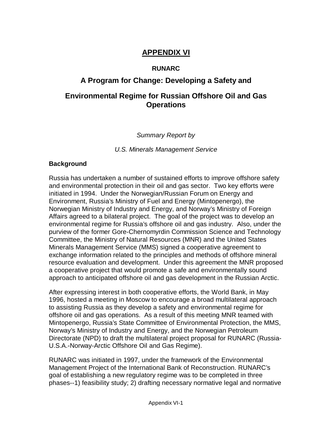# **APPENDIX VI**

#### **RUNARC**

# **A Program for Change: Developing a Safety and**

# **Environmental Regime for Russian Offshore Oil and Gas Operations**

### Summary Report by

U.S. Minerals Management Service

#### **Background**

Russia has undertaken a number of sustained efforts to improve offshore safety and environmental protection in their oil and gas sector. Two key efforts were initiated in 1994. Under the Norwegian/Russian Forum on Energy and Environment, Russia's Ministry of Fuel and Energy (Mintopenergo), the Norwegian Ministry of Industry and Energy, and Norway's Ministry of Foreign Affairs agreed to a bilateral project. The goal of the project was to develop an environmental regime for Russia's offshore oil and gas industry. Also, under the purview of the former Gore-Chernomyrdin Commission Science and Technology Committee, the Ministry of Natural Resources (MNR) and the United States Minerals Management Service (MMS) signed a cooperative agreement to exchange information related to the principles and methods of offshore mineral resource evaluation and development. Under this agreement the MNR proposed a cooperative project that would promote a safe and environmentally sound approach to anticipated offshore oil and gas development in the Russian Arctic.

After expressing interest in both cooperative efforts, the World Bank, in May 1996, hosted a meeting in Moscow to encourage a broad multilateral approach to assisting Russia as they develop a safety and environmental regime for offshore oil and gas operations. As a result of this meeting MNR teamed with Mintopenergo, Russia's State Committee of Environmental Protection, the MMS, Norway's Ministry of Industry and Energy, and the Norwegian Petroleum Directorate (NPD) to draft the multilateral project proposal for RUNARC (Russia-U.S.A.-Norway-Arctic Offshore Oil and Gas Regime).

RUNARC was initiated in 1997, under the framework of the Environmental Management Project of the International Bank of Reconstruction. RUNARC's goal of establishing a new regulatory regime was to be completed in three phases--1) feasibility study; 2) drafting necessary normative legal and normative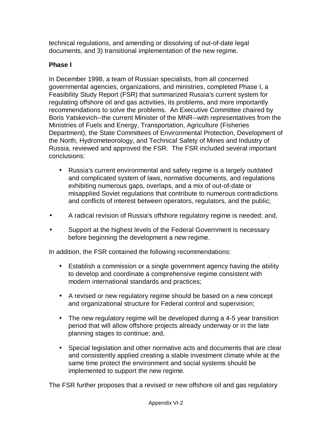technical regulations, and amending or dissolving of out-of-date legal documents, and 3) transitional implementation of the new regime.

### **Phase I**

In December 1998, a team of Russian specialists, from all concerned governmental agencies, organizations, and ministries, completed Phase I, a Feasibility Study Report (FSR) that summarized Russia's current system for regulating offshore oil and gas activities, its problems, and more importantly recommendations to solve the problems. An Executive Committee chaired by Boris Yatskevich--the current Minister of the MNR--with representatives from the Ministries of Fuels and Energy, Transportation, Agriculture (Fisheries Department), the State Committees of Environmental Protection, Development of the North, Hydrometeorology, and Technical Safety of Mines and Industry of Russia, reviewed and approved the FSR. The FSR included several important conclusions:

- Russia's current environmental and safety regime is a largely outdated and complicated system of laws, normative documents, and regulations exhibiting numerous gaps, overlaps, and a mix of out-of-date or misapplied Soviet regulations that contribute to numerous contradictions and conflicts of interest between operators, regulators, and the public;
- A radical revision of Russia's offshore regulatory regime is needed; and,
- Support at the highest levels of the Federal Government is necessary before beginning the development a new regime.

In addition, the FSR contained the following recommendations:

- Establish a commission or a single government agency having the ability to develop and coordinate a comprehensive regime consistent with modern international standards and practices;
- A revised or new regulatory regime should be based on a new concept and organizational structure for Federal control and supervision;
- The new regulatory regime will be developed during a 4-5 year transition period that will allow offshore projects already underway or in the late planning stages to continue; and,
- Special legislation and other normative acts and documents that are clear and consistently applied creating a stable investment climate while at the same time protect the environment and social systems should be implemented to support the new regime.

The FSR further proposes that a revised or new offshore oil and gas regulatory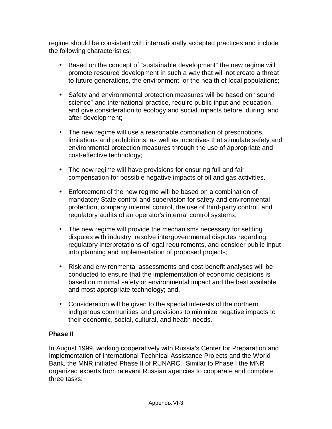regime should be consistent with internationally accepted practices and include the following characteristics:

- Based on the concept of "sustainable development" the new regime will promote resource development in such a way that will not create a threat to future generations, the environment, or the health of local populations;
- Safety and environmental protection measures will be based on "sound science" and international practice, require public input and education, and give consideration to ecology and social impacts before, during, and after development;
- The new regime will use a reasonable combination of prescriptions, limitations and prohibitions, as well as incentives that stimulate safety and environmental protection measures through the use of appropriate and cost-effective technology;
- The new regime will have provisions for ensuring full and fair compensation for possible negative impacts of oil and gas activities.
- Enforcement of the new regime will be based on a combination of mandatory State control and supervision for safety and environmental protection, company internal control, the use of third-party control, and regulatory audits of an operator's internal control systems;
- The new regime will provide the mechanisms necessary for settling disputes with industry, resolve intergovernmental disputes regarding regulatory interpretations of legal requirements, and consider public input into planning and implementation of proposed projects;
- Risk and environmental assessments and cost-benefit analyses will be conducted to ensure that the implementation of economic decisions is based on minimal safety or environmental impact and the best available and most appropriate technology; and,
- Consideration will be given to the special interests of the northern indigenous communities and provisions to minimize negative impacts to their economic, social, cultural, and health needs.

### **Phase II**

In August 1999, working cooperatively with Russia's Center for Preparation and Implementation of International Technical Assistance Projects and the World Bank, the MNR initiated Phase II of RUNARC. Similar to Phase I the MNR organized experts from relevant Russian agencies to cooperate and complete three tasks: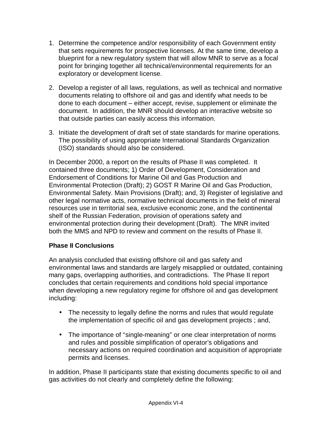- 1. Determine the competence and/or responsibility of each Government entity that sets requirements for prospective licenses. At the same time, develop a blueprint for a new regulatory system that will allow MNR to serve as a focal point for bringing together all technical/environmental requirements for an exploratory or development license.
- 2. Develop a register of all laws, regulations, as well as technical and normative documents relating to offshore oil and gas and identify what needs to be done to each document – either accept, revise, supplement or eliminate the document. In addition, the MNR should develop an interactive website so that outside parties can easily access this information.
- 3. Initiate the development of draft set of state standards for marine operations. The possibility of using appropriate International Standards Organization (ISO) standards should also be considered.

In December 2000, a report on the results of Phase II was completed. It contained three documents; 1) Order of Development, Consideration and Endorsement of Conditions for Marine Oil and Gas Production and Environmental Protection (Draft); 2) GOST R Marine Oil and Gas Production, Environmental Safety. Main Provisions (Draft); and, 3) Register of legislative and other legal normative acts, normative technical documents in the field of mineral resources use in territorial sea, exclusive economic zone, and the continental shelf of the Russian Federation, provision of operations safety and environmental protection during their development (Draft). The MNR invited both the MMS and NPD to review and comment on the results of Phase II.

### **Phase II Conclusions**

An analysis concluded that existing offshore oil and gas safety and environmental laws and standards are largely misapplied or outdated, containing many gaps, overlapping authorities, and contradictions. The Phase II report concludes that certain requirements and conditions hold special importance when developing a new regulatory regime for offshore oil and gas development including:

- The necessity to legally define the norms and rules that would regulate the implementation of specific oil and gas development projects ; and,
- The importance of "single-meaning" or one clear interpretation of norms and rules and possible simplification of operator's obligations and necessary actions on required coordination and acquisition of appropriate permits and licenses.

In addition, Phase II participants state that existing documents specific to oil and gas activities do not clearly and completely define the following: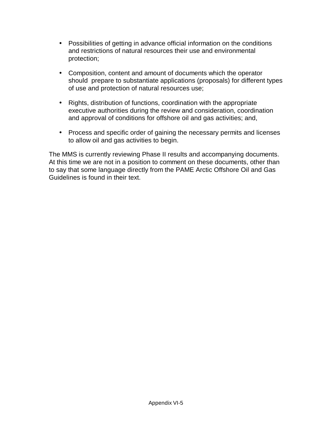- Possibilities of getting in advance official information on the conditions and restrictions of natural resources their use and environmental protection;
- Composition, content and amount of documents which the operator should prepare to substantiate applications (proposals) for different types of use and protection of natural resources use;
- Rights, distribution of functions, coordination with the appropriate executive authorities during the review and consideration, coordination and approval of conditions for offshore oil and gas activities; and,
- Process and specific order of gaining the necessary permits and licenses to allow oil and gas activities to begin.

The MMS is currently reviewing Phase II results and accompanying documents. At this time we are not in a position to comment on these documents, other than to say that some language directly from the PAME Arctic Offshore Oil and Gas Guidelines is found in their text.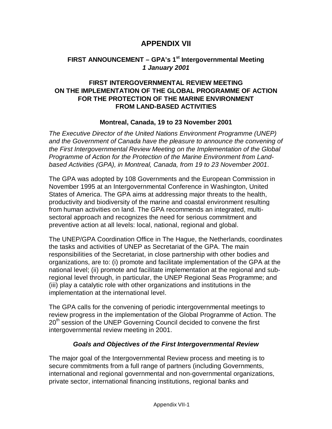### **APPENDIX VII**

### **FIRST ANNOUNCEMENT – GPA's 1st Intergovernmental Meeting 1 January 2001**

#### **FIRST INTERGOVERNMENTAL REVIEW MEETING ON THE IMPLEMENTATION OF THE GLOBAL PROGRAMME OF ACTION FOR THE PROTECTION OF THE MARINE ENVIRONMENT FROM LAND-BASED ACTIVITIES**

#### **Montreal, Canada, 19 to 23 November 2001**

The Executive Director of the United Nations Environment Programme (UNEP) and the Government of Canada have the pleasure to announce the convening of the First Intergovernmental Review Meeting on the Implementation of the Global Programme of Action for the Protection of the Marine Environment from Landbased Activities (GPA), in Montreal, Canada, from 19 to 23 November 2001.

The GPA was adopted by 108 Governments and the European Commission in November 1995 at an Intergovernmental Conference in Washington, United States of America. The GPA aims at addressing major threats to the health, productivity and biodiversity of the marine and coastal environment resulting from human activities on land. The GPA recommends an integrated, multisectoral approach and recognizes the need for serious commitment and preventive action at all levels: local, national, regional and global.

The UNEP/GPA Coordination Office in The Hague, the Netherlands, coordinates the tasks and activities of UNEP as Secretariat of the GPA. The main responsibilities of the Secretariat, in close partnership with other bodies and organizations, are to: (i) promote and facilitate implementation of the GPA at the national level; (ii) promote and facilitate implementation at the regional and subregional level through, in particular, the UNEP Regional Seas Programme; and (iii) play a catalytic role with other organizations and institutions in the implementation at the international level.

The GPA calls for the convening of periodic intergovernmental meetings to review progress in the implementation of the Global Programme of Action. The 20<sup>th</sup> session of the UNEP Governing Council decided to convene the first intergovernmental review meeting in 2001.

#### **Goals and Objectives of the First Intergovernmental Review**

The major goal of the Intergovernmental Review process and meeting is to secure commitments from a full range of partners (including Governments, international and regional governmental and non-governmental organizations, private sector, international financing institutions, regional banks and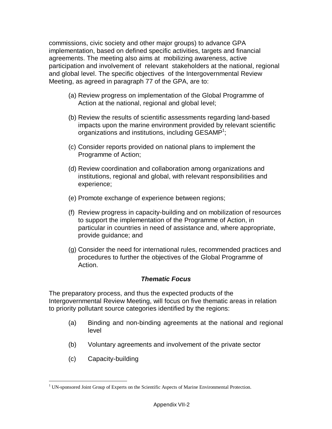commissions, civic society and other major groups) to advance GPA implementation, based on defined specific activities, targets and financial agreements. The meeting also aims at mobilizing awareness, active participation and involvement of relevant stakeholders at the national, regional and global level. The specific objectives of the Intergovernmental Review Meeting, as agreed in paragraph 77 of the GPA, are to:

- (a) Review progress on implementation of the Global Programme of Action at the national, regional and global level;
- (b) Review the results of scientific assessments regarding land-based impacts upon the marine environment provided by relevant scientific organizations and institutions, including GESAMP<sup>1</sup>;
- (c) Consider reports provided on national plans to implement the Programme of Action;
- (d) Review coordination and collaboration among organizations and institutions, regional and global, with relevant responsibilities and experience;
- (e) Promote exchange of experience between regions;
- (f) Review progress in capacity-building and on mobilization of resources to support the implementation of the Programme of Action, in particular in countries in need of assistance and, where appropriate, provide guidance; and
- (g) Consider the need for international rules, recommended practices and procedures to further the objectives of the Global Programme of Action.

#### **Thematic Focus**

The preparatory process, and thus the expected products of the Intergovernmental Review Meeting, will focus on five thematic areas in relation to priority pollutant source categories identified by the regions:

- (a) Binding and non-binding agreements at the national and regional level
- (b) Voluntary agreements and involvement of the private sector
- (c) Capacity-building

l

<sup>&</sup>lt;sup>1</sup> UN-sponsored Joint Group of Experts on the Scientific Aspects of Marine Environmental Protection.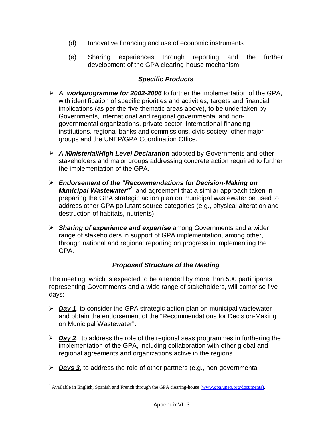- (d) Innovative financing and use of economic instruments
- (e) Sharing experiences through reporting and the further development of the GPA clearing-house mechanism

### **Specific Products**

- **A workprogramme for 2002-2006** to further the implementation of the GPA, with identification of specific priorities and activities, targets and financial implications (as per the five thematic areas above), to be undertaken by Governments, international and regional governmental and nongovernmental organizations, private sector, international financing institutions, regional banks and commissions, civic society, other major groups and the UNEP/GPA Coordination Office.
- **A Ministerial/High Level Declaration** adopted by Governments and other stakeholders and major groups addressing concrete action required to further the implementation of the GPA.
- **Endorsement of the "Recommendations for Decision-Making on**  Municipal Wastewater<sup>"2</sup>, and agreement that a similar approach taken in preparing the GPA strategic action plan on municipal wastewater be used to address other GPA pollutant source categories (e.g., physical alteration and destruction of habitats, nutrients).
- **Sharing of experience and expertise** among Governments and a wider range of stakeholders in support of GPA implementation, among other, through national and regional reporting on progress in implementing the GPA.

### **Proposed Structure of the Meeting**

The meeting, which is expected to be attended by more than 500 participants representing Governments and a wide range of stakeholders, will comprise five days:

- **Day 1**, to consider the GPA strategic action plan on municipal wastewater and obtain the endorsement of the "Recommendations for Decision-Making on Municipal Wastewater".
- **Day 2**, to address the role of the regional seas programmes in furthering the implementation of the GPA, including collaboration with other global and regional agreements and organizations active in the regions.
- **Days 3**, to address the role of other partners (e.g., non-governmental

l

<sup>&</sup>lt;sup>2</sup> Available in English, Spanish and French through the GPA clearing-house (www.gpa.unep.org/documents).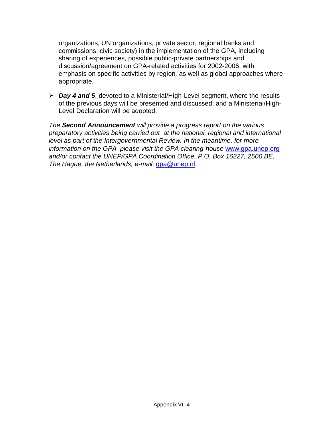organizations, UN organizations, private sector, regional banks and commissions, civic society) in the implementation of the GPA, including sharing of experiences, possible public-private partnerships and discussion/agreement on GPA-related activities for 2002-2006, with emphasis on specific activities by region, as well as global approaches where appropriate.

 **Day 4 and 5**, devoted to a Ministerial/High-Level segment, where the results of the previous days will be presented and discussed; and a Ministerial/High-Level Declaration will be adopted.

The **Second Announcement** will provide a progress report on the various preparatory activities being carried out at the national, regional and international level as part of the Intergovernmental Review. In the meantime, for more information on the GPA please visit the GPA clearing-house www.gpa.unep.org and/or contact the UNEP/GPA Coordination Office, P.O. Box 16227, 2500 BE, The Hague, the Netherlands, e-mail: gpa@unep.nl